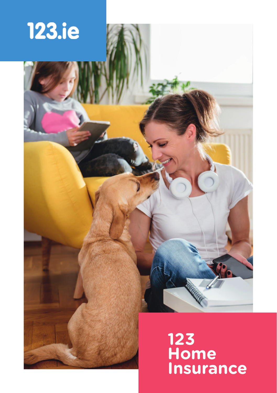

# **123 Home Insurance**

**CONTROLLER**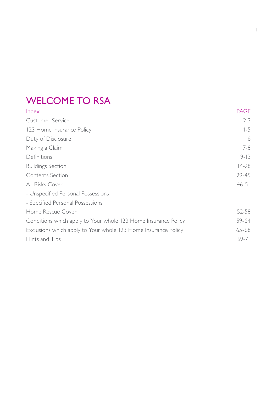## WELCOME TO RSA

| Index                                                          | <b>PAGE</b> |
|----------------------------------------------------------------|-------------|
| Customer Service                                               | $2 - 3$     |
| 123 Home Insurance Policy                                      | $4 - 5$     |
| Duty of Disclosure                                             | 6           |
| Making a Claim                                                 | 7-8         |
| Definitions                                                    | $9 - 13$    |
| <b>Buildings Section</b>                                       | $14 - 28$   |
| Contents Section                                               | 29-45       |
| All Risks Cover                                                | $46 - 51$   |
| - Unspecified Personal Possessions                             |             |
| - Specified Personal Possessions                               |             |
| Home Rescue Cover                                              | 52-58       |
| Conditions which apply to Your whole 123 Home Insurance Policy | 59-64       |
| Exclusions which apply to Your whole 123 Home Insurance Policy | $65 - 68$   |
| Hints and Tips                                                 | $69 - 71$   |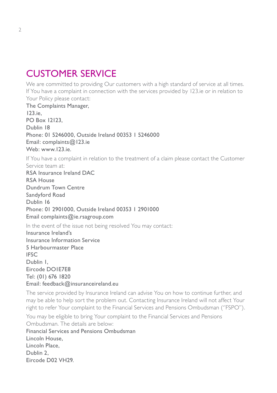## CUSTOMER SERVICE

We are committed to providing Our customers with a high standard of service at all times. If You have a complaint in connection with the services provided by 123.ie or in relation to Your Policy please contact:

The Complaints Manager, 123.ie, PO Box 12123, Dublin 18 Phone: 01 5246000, Outside Ireland 00353 1 5246000 Email: complaints@123.ie Web: www.123.ie. If You have a complaint in relation to the treatment of a claim please contact the Customer Service team at: RSA Insurance Ireland DAC RSA House Dundrum Town Centre Sandyford Road Dublin 16 Phone: 01 2901000, Outside Ireland 00353 1 2901000 Email complaints@ie.rsagroup.com In the event of the issue not being resolved You may contact: Insurance Ireland's Insurance Information Service 5 Harbourmaster Place IFSC Dublin 1 Eircode DO1E7E8 Tel: (01) 676 1820 Email: feedback@insuranceireland.eu

The service provided by Insurance Ireland can advise You on how to continue further, and may be able to help sort the problem out. Contacting Insurance Ireland will not affect Your right to refer Your complaint to the Financial Services and Pensions Ombudsman (''FSPO'').

You may be eligible to bring Your complaint to the Financial Services and Pensions Ombudsman. The details are below:

Financial Services and Pensions Ombudsman Lincoln House, Lincoln Place, Dublin 2 Eircode D02 VH29.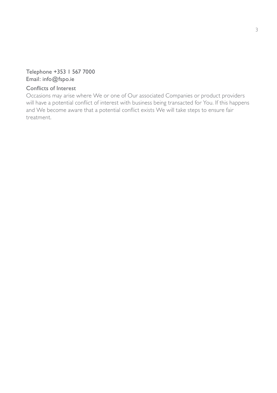### Telephone +353 1 567 7000 Email: info@fspo.ie

#### Conflicts of Interest

Occasions may arise where We or one of Our associated Companies or product providers will have a potential conflict of interest with business being transacted for You. If this happens and We become aware that a potential conflict exists We will take steps to ensure fair treatment.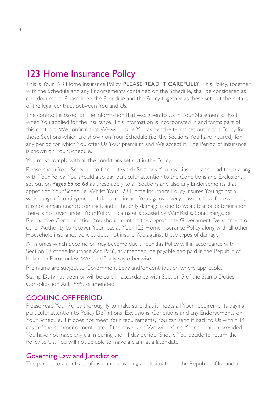## 123 Home Insurance Policy

This is Your 123 Home Insurance Policy. PLEASE READ IT CAREFULLY. This Policy, together with the Schedule and any Endorsements contained on the Schedule, shall be considered as one document. Please keep the Schedule and the Policy together as these set out the details of the legal contract between You and Us.

The contract is based on the information that was given to Us in Your Statement of Fact when You applied for the insurance. This information is incorporated in and forms part of this contract. We confirm that We will insure You as per the terms set out in this Policy for those Sections which are shown on Your Schedule (i.e. the Sections You have insured) for any period for which You offer Us Your premium and We accept it. The Period of Insurance is shown on Your Schedule.

You must comply with all the conditions set out in the Policy.

Please check Your Schedule to find out which Sections You have insured and read them along with Your Policy. You should also pay particular attention to the Conditions and Exclusions set out on Pages 59 to 68 as these apply to all Sections and also any Endorsements that appear on Your Schedule. Whilst Your 123 Home Insurance Policy insures You against a wide range of contingencies, it does not insure You against every possible loss, for example, it is not a maintenance contract, and if the only damage is due to wear, tear or deterioration there is no cover under Your Policy. If damage is caused by War Risks, Sonic Bangs, or Radioactive Contamination You should contact the appropriate Government Department or other Authority to recover Your loss as Your 123 Home Insurance Policy along with all other Household insurance policies does not insure You against these types of damage.

All monies which become or may become due under this Policy will in accordance with Section 93 of the Insurance Act 1936, as amended, be payable and paid in the Republic of Ireland in Euros unless We specifically say otherwise.

Premiums are subject to Government Levy and/or contribution where applicable.

Stamp Duty has been or will be paid in accordance with Section 5 of the Stamp Duties Consolidation Act 1999, as amended.

#### COOLING OFF PERIOD

Please read Your Policy thoroughly to make sure that it meets all Your requirements paying particular attention to Policy Definitions, Exclusions, Conditions and any Endorsements on Your Schedule. If it does not meet Your requirements, You can send it back to Us within 14 days of the commencement date of the cover and We will refund Your premium provided You have not made any claim during the 14 day period. Should You decide to return the Policy to Us, You will not be able to make a claim at a later date.

#### Governing Law and Jurisdiction

The parties to a contract of insurance covering a risk situated in the Republic of Ireland are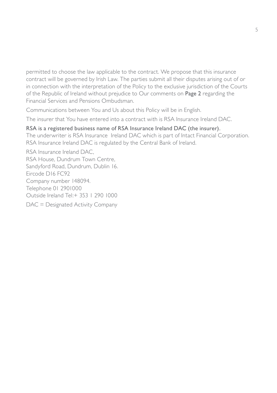permitted to choose the law applicable to the contract. We propose that this insurance contract will be governed by Irish Law. The parties submit all their disputes arising out of or in connection with the interpretation of the Policy to the exclusive jurisdiction of the Courts of the Republic of Ireland without prejudice to Our comments on Page 2 regarding the Financial Services and Pensions Ombudsman.

Communications between You and Us about this Policy will be in English.

The insurer that You have entered into a contract with is RSA Insurance Ireland DAC.

#### RSA is a registered business name of RSA Insurance Ireland DAC (the insurer).

The underwriter is RSA Insurance Ireland DAC which is part of Intact Financial Corporation. RSA Insurance Ireland DAC is regulated by the Central Bank of Ireland.

RSA Insurance Ireland DAC, RSA House, Dundrum Town Centre, Sandyford Road, Dundrum, Dublin 16. Eircode D16 FC92 Company number 148094. Telephone 01 2901000 Outside Ireland Tel:+ 353 1 290 1000 DAC = Designated Activity Company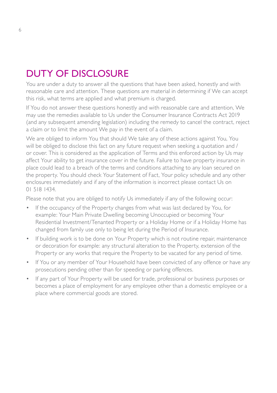## DUTY OF DISCLOSURE

You are under a duty to answer all the questions that have been asked, honestly and with reasonable care and attention. These questions are material in determining if We can accept this risk, what terms are applied and what premium is charged.

If You do not answer these questions honestly and with reasonable care and attention, We may use the remedies available to Us under the Consumer Insurance Contracts Act 2019 (and any subsequent amending legislation) including the remedy to cancel the contract, reject a claim or to limit the amount We pay in the event of a claim.

We are obliged to inform You that should We take any of these actions against You, You will be obliged to disclose this fact on any future request when seeking a quotation and / or cover. This is considered as the application of Terms and this enforced action by Us may affect Your ability to get insurance cover in the future. Failure to have property insurance in place could lead to a breach of the terms and conditions attaching to any loan secured on the property. You should check Your Statement of Fact, Your policy schedule and any other enclosures immediately and if any of the information is incorrect please contact Us on 01 518 1434.

Please note that you are obliged to notify Us immediately if any of the following occur:

- If the occupancy of the Property changes from what was last declared by You, for example: Your Main Private Dwelling becoming Unoccupied or becoming Your Residential Investment/Tenanted Property or a Holiday Home or if a Holiday Home has changed from family use only to being let during the Period of Insurance.
- If building work is to be done on Your Property which is not routine repair, maintenance or decoration for example: any structural alteration to the Property, extension of the Property or any works that require the Property to be vacated for any period of time.
- If You or any member of Your Household have been convicted of any offence or have any prosecutions pending other than for speeding or parking offences.
- If any part of Your Property will be used for trade, professional or business purposes or becomes a place of employment for any employee other than a domestic employee or a place where commercial goods are stored.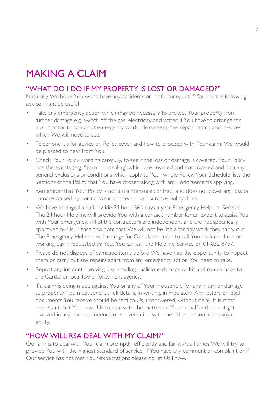## MAKING A CLAIM

### "WHAT DO I DO IF MY PROPERTY IS LOST OR DAMAGED?"

Naturally We hope You won't have any accidents or misfortune, but if You do, the following advice might be useful:

- Take any emergency action which may be necessary to protect Your property from further damage e.g. switch off the gas, electricity and water. If You have to arrange for a contractor to carry out emergency work, please keep the repair details and invoices which We will need to see.
- Telephone Us for advice on Policy cover and how to proceed with Your claim. We would be pleased to hear from You.
- Check Your Policy wording carefully, to see if the loss or damage is covered. Your Policy lists the events (e.g. Storm or stealing) which are covered and not covered and also any general exclusions or conditions which apply to Your whole Policy. Your Schedule lists the Sections of the Policy that You have chosen along with any Endorsements applying.
- Remember that Your Policy is not a maintenance contract and does not cover any loss or damage caused by normal wear and tear - no insurance policy does.
- We have arranged a nationwide 24 hour 365 days a year Emergency Helpline Service. The 24 hour Helpline will provide You with a contact number for an expert to assist You with Your emergency. All of the contractors are independent and are not specifically approved by Us. Please also note that We will not be liable for any work they carry out. The Emergency Helpline will arrange for Our claims team to call You back on the next working day if requested by You. You can call the Helpline Service on 01-832 8757.
- Please do not dispose of damaged items before We have had the opportunity to inspect them or carry out any repairs apart from any emergency action You need to take.
- Report any incident involving loss, stealing, malicious damage or hit and run damage to the Gardaí or local law enforcement agency.
- If a claim is being made against You or any of Your Household for any injury or damage to property, You must send Us full details, in writing, immediately. Any letters or legal documents You receive should be sent to Us, unanswered, without delay. It is most important that You leave Us to deal with the matter on Your behalf and do not get involved in any correspondence or conversation with the other person, company or entity.

### "HOW WILL RSA DEAL WITH MY CLAIM?"

Our aim is to deal with Your claim promptly, efficiently and fairly. At all times We will try to provide You with the highest standard of service. If You have any comment or complaint or if Our service has not met Your expectations please do let Us know.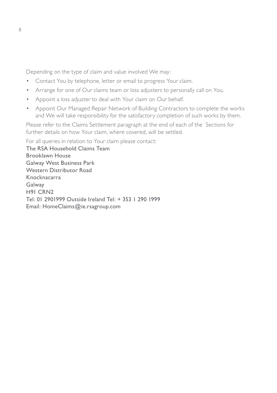Depending on the type of claim and value involved We may:

- Contact You by telephone, letter or email to progress Your claim.
- Arrange for one of Our claims team or loss adjusters to personally call on You.
- Appoint a loss adjuster to deal with Your claim on Our behalf.
- Appoint Our Managed Repair Network of Building Contractors to complete the works and We will take responsibility for the satisfactory completion of such works by them.

Please refer to the Claims Settlement paragraph at the end of each of the Sections for further details on how Your claim, where covered, will be settled.

For all queries in relation to Your claim please contact:

The RSA Household Claims Team Brooklawn House Galway West Business Park Western Distributor Road Knocknacarra Galway H91 CRN2 Tel: 01 2901999 Outside Ireland Tel: + 353 1 290 1999 Email: HomeClaims@ie.rsagroup.com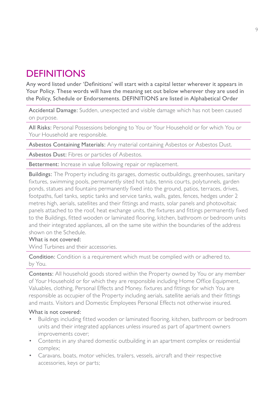## **DEFINITIONS**

Any word listed under 'Definitions' will start with a capital letter wherever it appears in Your Policy. These words will have the meaning set out below wherever they are used in the Policy, Schedule or Endorsements. DEFINITIONS are listed in Alphabetical Order

Accidental Damage: Sudden, unexpected and visible damage which has not been caused on purpose.

All Risks: Personal Possessions belonging to You or Your Household or for which You or Your Household are responsible.

Asbestos Containing Materials: Any material containing Asbestos or Asbestos Dust.

Asbestos Dust: Fibres or particles of Asbestos.

Betterment: Increase in value following repair or replacement.

Buildings: The Property including its garages, domestic outbuildings, greenhouses, sanitary fixtures, swimming pools, permanently sited hot tubs, tennis courts, polytunnels, garden ponds, statues and fountains permanently fixed into the ground, patios, terraces, drives, footpaths, fuel tanks, septic tanks and service tanks, walls, gates, fences, hedges under 2 metres high, aerials, satellites and their fittings and masts, solar panels and photovoltaic panels attached to the roof, heat exchange units, the fixtures and fittings permanently fixed to the Buildings, fitted wooden or laminated flooring, kitchen, bathroom or bedroom units and their integrated appliances, all on the same site within the boundaries of the address shown on the Schedule.

#### What is not covered:

Wind Turbines and their accessories.

Condition: Condition is a requirement which must be complied with or adhered to, by You.

Contents: All household goods stored within the Property owned by You or any member of Your Household or for which they are responsible including Home Office Equipment, Valuables, clothing, Personal Effects and Money. fixtures and fittings for which You are responsible as occupier of the Property including aerials, satellite aerials and their fittings and masts. Visitors and Domestic Employees Personal Effects not otherwise insured.

#### What is not covered:

- Buildings including fitted wooden or laminated flooring, kitchen, bathroom or bedroom units and their integrated appliances unless insured as part of apartment owners improvements cover;
- Contents in any shared domestic outbuilding in an apartment complex or residential complex;
- Caravans, boats, motor vehicles, trailers, vessels, aircraft and their respective accessories, keys or parts;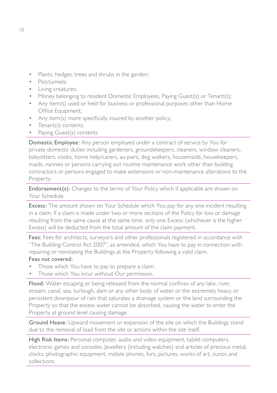- Plants, hedges, trees and shrubs in the garden;
- Polytunnels;
- Living creatures;
- Money belonging to resident Domestic Employees, Paying Guest(s) or Tenant(s);
- Any item(s) used or held for business or professional purposes other than Home Office Equipment;
- Any item(s) more specifically insured by another policy;
- Tenant(s) contents.
- Paying Guest(s) contents

Domestic Employee: Any person employed under a contract of service by You for private domestic duties including gardeners, groundskeepers, cleaners, window cleaners, babysitters, cooks, home help/carers, au pairs, dog walkers, housemaids, housekeepers, maids, nannies or persons carrying out routine maintenance work other than building contractors or persons engaged to make extensions or non-maintenance alterations to the Property.

Endorsement(s): Changes to the terms of Your Policy which if applicable are shown on Your Schedule.

Excess: The amount shown on Your Schedule which You pay for any one incident resulting in a claim. If a claim is made under two or more sections of the Policy for loss or damage resulting from the same cause at the same time, only one Excess (whichever is the higher Excess) will be deducted from the total amount of the claim payment.

Fees: Fees for architects, surveyors and other professionals registered in accordance with ''The Building Control Act 2007'', as amended, which You have to pay in connection with repairing or reinstating the Buildings at the Property following a valid claim.

#### Fees not covered:

- Those which You have to pay to prepare a claim.
- Those which You incur without Our permission.

Flood: Water escaping or being released from the normal confines of any lake, river, stream, canal, sea, turlough, dam or any other body of water or the extremely heavy or persistent downpour of rain that saturates a drainage system or the land surrounding the Property so that the excess water cannot be absorbed, causing the water to enter the Property at ground level causing damage.

Ground Heave: Upward movement or expansion of the site on which the Buildings stand due to the removal of load from the site or actions within the site itself.

High Risk Items: Personal computer, audio and video equipment, tablet computers, electronic games and consoles, Jewellery (including watches) and articles of precious metal, clocks, photographic equipment, mobile phones, furs, pictures, works of art, curios and collections.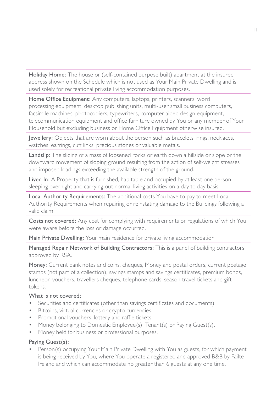Holiday Home: The house or (self-contained purpose built) apartment at the insured address shown on the Schedule which is not used as Your Main Private Dwelling and is used solely for recreational private living accommodation purposes.

Home Office Equipment: Any computers, laptops, printers, scanners, word processing equipment, desktop publishing units, multi-user small business computers, facsimile machines, photocopiers, typewriters, computer aided design equipment, telecommunication equipment and office furniture owned by You or any member of Your Household but excluding business or Home Office Equipment otherwise insured.

Jewellery: Objects that are worn about the person such as bracelets, rings, necklaces, watches, earrings, cuff links, precious stones or valuable metals.

Landslip: The sliding of a mass of loosened rocks or earth down a hillside or slope or the downward movement of sloping ground resulting from the action of self-weight stresses and imposed loadings exceeding the available strength of the ground.

Lived In: A Property that is furnished, habitable and occupied by at least one person sleeping overnight and carrying out normal living activities on a day to day basis.

Local Authority Requirements: The additional costs You have to pay to meet Local Authority Requirements when repairing or reinstating damage to the Buildings following a valid claim.

Costs not covered: Any cost for complying with requirements or regulations of which You were aware before the loss or damage occurred.

Main Private Dwelling: Your main residence for private living accommodation

Managed Repair Network of Building Contractors: This is a panel of building contractors approved by RSA.

Money: Current bank notes and coins, cheques, Money and postal orders, current postage stamps (not part of a collection), savings stamps and savings certificates, premium bonds, luncheon vouchers, travellers cheques, telephone cards, season travel tickets and gift tokens.

#### What is not covered:

- Securities and certificates (other than savings certificates and documents).
- Bitcoins, virtual currencies or crypto currencies.
- Promotional vouchers, lottery and raffle tickets.
- Money belonging to Domestic Employee(s), Tenant(s) or Paying Guest(s).
- Money held for business or professional purposes.

#### Paying Guest(s):

Person(s) occupying Your Main Private Dwelling with You as guests, for which payment is being received by You, where You operate a registered and approved B&B by Failte Ireland and which can accommodate no greater than 6 guests at any one time.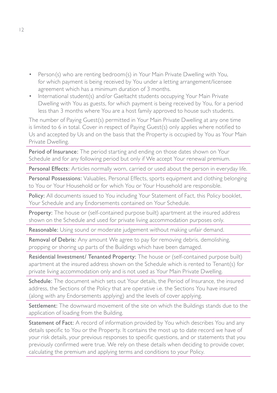- Person(s) who are renting bedroom(s) in Your Main Private Dwelling with You, for which payment is being received by You under a letting arrangement/licensee agreement which has a minimum duration of 3 months.
- International student(s) and/or Gaeltacht students occupying Your Main Private Dwelling with You as guests, for which payment is being received by You, for a period less than 3 months where You are a host family approved to house such students.

The number of Paying Guest(s) permitted in Your Main Private Dwelling at any one time is limited to 6 in total. Cover in respect of Paying Guest(s) only applies where notified to Us and accepted by Us and on the basis that the Property is occupied by You as Your Main Private Dwelling.

Period of Insurance: The period starting and ending on those dates shown on Your Schedule and for any following period but only if We accept Your renewal premium.

Personal Effects: Articles normally worn, carried or used about the person in everyday life.

Personal Possessions: Valuables, Personal Effects, sports equipment and clothing belonging to You or Your Household or for which You or Your Household are responsible.

Policy: All documents issued to You including Your Statement of Fact, this Policy booklet, Your Schedule and any Endorsements contained on Your Schedule.

Property: The house or (self-contained purpose built) apartment at the insured address shown on the Schedule and used for private living accommodation purposes only.

Reasonable: Using sound or moderate judgement without making unfair demand.

Removal of Debris: Any amount We agree to pay for removing debris, demolishing, propping or shoring up parts of the Buildings which have been damaged.

Residential Investment/ Tenanted Property: The house or (self-contained purpose built) apartment at the insured address shown on the Schedule which is rented to Tenant(s) for private living accommodation only and is not used as Your Main Private Dwelling.

Schedule: The document which sets out Your details, the Period of Insurance, the insured address, the Sections of the Policy that are operative i.e. the Sections You have insured (along with any Endorsements applying) and the levels of cover applying.

Settlement: The downward movement of the site on which the Buildings stands due to the application of loading from the Building.

Statement of Fact: A record of information provided by You which describes You and any details specific to You or the Property. It contains the most up to date record we have of your risk details, your previous responses to specific questions, and or statements that you previously confirmed were true. We rely on these details when deciding to provide cover, calculating the premium and applying terms and conditions to your Policy.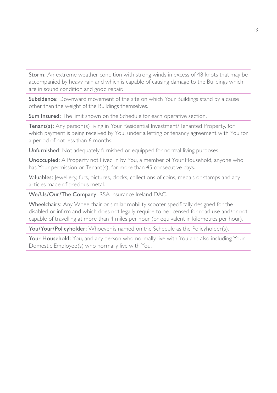Storm: An extreme weather condition with strong winds in excess of 48 knots that may be accompanied by heavy rain and which is capable of causing damage to the Buildings which are in sound condition and good repair.

Subsidence: Downward movement of the site on which Your Buildings stand by a cause other than the weight of the Buildings themselves.

Sum Insured: The limit shown on the Schedule for each operative section.

Tenant(s): Any person(s) living in Your Residential Investment/Tenanted Property, for which payment is being received by You, under a letting or tenancy agreement with You for a period of not less than 6 months.

Unfurnished: Not adequately furnished or equipped for normal living purposes.

Unoccupied: A Property not Lived In by You, a member of Your Household, anyone who has Your permission or Tenant(s), for more than 45 consecutive days.

Valuables: Jewellery, furs, pictures, clocks, collections of coins, medals or stamps and any articles made of precious metal.

We/Us/Our/The Company: RSA Insurance Ireland DAC.

Wheelchairs: Any Wheelchair or similar mobility scooter specifically designed for the disabled or infirm and which does not legally require to be licensed for road use and/or not capable of travelling at more than 4 miles per hour (or equivalent in kilometres per hour).

You/Your/Policyholder: Whoever is named on the Schedule as the Policyholder(s).

Your Household: You, and any person who normally live with You and also including Your Domestic Employee(s) who normally live with You.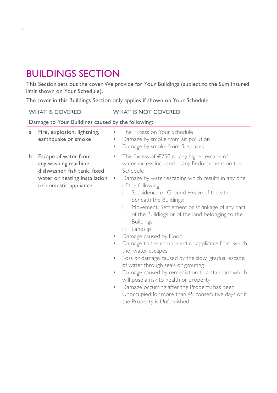## BUILDINGS SECTION

This Section sets out the cover We provide for Your Buildings (subject to the Sum Insured limit shown on Your Schedule).

The cover in this Buildings Section only applies if shown on Your Schedule

|   | <b>WHAT IS COVERED</b>                                                                                                                 | <b>WHAT IS NOT COVERED</b>                                                                                                                                                                                                                                                                                                                                                                                                                                                                                                                                                                                                                                                                                                                                                                                                                                                                                               |
|---|----------------------------------------------------------------------------------------------------------------------------------------|--------------------------------------------------------------------------------------------------------------------------------------------------------------------------------------------------------------------------------------------------------------------------------------------------------------------------------------------------------------------------------------------------------------------------------------------------------------------------------------------------------------------------------------------------------------------------------------------------------------------------------------------------------------------------------------------------------------------------------------------------------------------------------------------------------------------------------------------------------------------------------------------------------------------------|
|   | Damage to Your Buildings caused by the following:                                                                                      |                                                                                                                                                                                                                                                                                                                                                                                                                                                                                                                                                                                                                                                                                                                                                                                                                                                                                                                          |
| a | Fire, explosion, lightning,<br>earthquake or smoke                                                                                     | The Excess on Your Schedule<br>$\bullet$<br>Damage by smoke from air pollution<br>٠<br>Damage by smoke from fireplaces<br>٠                                                                                                                                                                                                                                                                                                                                                                                                                                                                                                                                                                                                                                                                                                                                                                                              |
| b | Escape of water from<br>any washing machine,<br>dishwasher, fish tank, fixed<br>water or heating installation<br>or domestic appliance | The Excess of €750 or any higher escape of<br>$\bullet$<br>water excess included in any Endorsement on the<br>Schedule<br>Damage by water escaping which results in any one<br>$\bullet$<br>of the following:<br>Subsidence or Ground Heave of the site<br>beneath the Buildings;<br>ii.<br>Movement, Settlement or shrinkage of any part<br>of the Buildings or of the land belonging to the<br>Buildings;<br>Landslip<br>iii.<br>Damage caused by Flood<br>٠<br>Damage to the component or appliance from which<br>$\bullet$<br>the water escapes<br>Loss or damage caused by the slow, gradual escape<br>$\bullet$<br>of water through seals or grouting<br>Damage caused by remediation to a standard which<br>$\bullet$<br>will pose a risk to health or property<br>Damage occurring after the Property has been<br>$\bullet$<br>Unoccupied for more than 45 consecutive days or if<br>the Property is Unfurnished |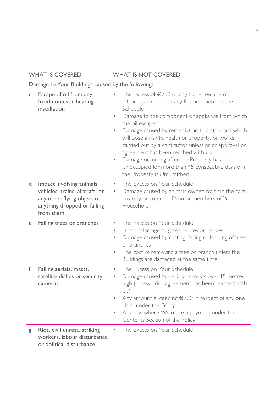| <b>WHAT IS COVERED</b>                                                                                                                    | <b>WHAT IS NOT COVERED</b>                                                                                                                                                                                                                                                                                                                                                                                                                                                                                                                                      |  |
|-------------------------------------------------------------------------------------------------------------------------------------------|-----------------------------------------------------------------------------------------------------------------------------------------------------------------------------------------------------------------------------------------------------------------------------------------------------------------------------------------------------------------------------------------------------------------------------------------------------------------------------------------------------------------------------------------------------------------|--|
| Damage to Your Buildings caused by the following:                                                                                         |                                                                                                                                                                                                                                                                                                                                                                                                                                                                                                                                                                 |  |
| Escape of oil from any<br>C<br>fixed domestic heating<br>installation                                                                     | The Excess of €750 or any higher escape of<br>oil excess included in any Endorsement on the<br>Schedule<br>Damage to the component or appliance from which<br>$\bullet$<br>the oil escapes<br>Damage caused by remediation to a standard which<br>$\bullet$<br>will pose a risk to health or property, or works<br>carried out by a contractor unless prior approval or<br>agreement has been reached with Us<br>Damage occurring after the Property has been<br>$\bullet$<br>Unoccupied for more than 45 consecutive days or if<br>the Property is Unfurnished |  |
| Impact involving animals,<br>d<br>vehicles, trains, aircraft, or<br>any other flying object o<br>anything dropped or falling<br>from them | The Excess on Your Schedule<br>$\bullet$<br>Damage caused by animals owned by or in the care,<br>custody or control of You or members of Your<br>Household                                                                                                                                                                                                                                                                                                                                                                                                      |  |
| Falling trees or branches<br>е                                                                                                            | The Excess on Your Schedule<br>$\bullet$<br>Loss or damage to gates, fences or hedges<br>$\bullet$<br>Damage caused by cutting, felling or lopping of trees<br>$\bullet$<br>or branches<br>The cost of removing a tree or branch unless the<br>$\bullet$<br>Buildings are damaged at the same time                                                                                                                                                                                                                                                              |  |
| f<br>Falling aerials, masts,<br>satellite dishes or security<br>cameras                                                                   | The Excess on Your Schedule<br>$\bullet$<br>Damage caused by aerials or masts over 15 metres<br>$\bullet$<br>high (unless prior agreement has been reached with<br>Us)<br>Any amount exceeding €700 in respect of any one<br>$\bullet$<br>claim under the Policy<br>Any loss where We make a payment under the<br>$\bullet$<br>Contents Section of the Policy                                                                                                                                                                                                   |  |
| Riot, civil unrest, striking<br>g<br>workers, labour disturbance<br>or political disturbance                                              | The Excess on Your Schedule                                                                                                                                                                                                                                                                                                                                                                                                                                                                                                                                     |  |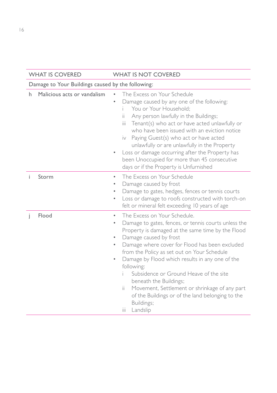|    | <b>WHAT IS COVERED</b>                            | <b>WHAT IS NOT COVERED</b>                                                                                                                                                                                                                                                                                                                                                                                                                                                                                                                                                                                             |  |
|----|---------------------------------------------------|------------------------------------------------------------------------------------------------------------------------------------------------------------------------------------------------------------------------------------------------------------------------------------------------------------------------------------------------------------------------------------------------------------------------------------------------------------------------------------------------------------------------------------------------------------------------------------------------------------------------|--|
|    | Damage to Your Buildings caused by the following: |                                                                                                                                                                                                                                                                                                                                                                                                                                                                                                                                                                                                                        |  |
| h. | Malicious acts or vandalism                       | The Excess on Your Schedule<br>Damage caused by any one of the following:<br>You or Your Household:<br>Any person lawfully in the Buildings;<br>ïi<br>Tenant(s) who act or have acted unlawfully or<br>iii -<br>who have been issued with an eviction notice<br>iv Paying Guest(s) who act or have acted<br>unlawfully or are unlawfully in the Property<br>Loss or damage occurring after the Property has<br>$\bullet$<br>been Unoccupied for more than 45 consecutive<br>days or if the Property is Unfurnished                                                                                                     |  |
| Ť  | Storm                                             | The Excess on Your Schedule<br>$\bullet$<br>Damage caused by frost<br>۰<br>Damage to gates, hedges, fences or tennis courts<br>$\bullet$<br>Loss or damage to roofs constructed with torch-on<br>$\bullet$<br>felt or mineral felt exceeding 10 years of age                                                                                                                                                                                                                                                                                                                                                           |  |
| Ť  | Flood                                             | The Excess on Your Schedule.<br>$\bullet$<br>Damage to gates, fences, or tennis courts unless the<br>$\bullet$<br>Property is damaged at the same time by the Flood<br>Damage caused by frost<br>$\bullet$<br>Damage where cover for Flood has been excluded<br>$\bullet$<br>from the Policy as set out on Your Schedule<br>Damage by Flood which results in any one of the<br>$\bullet$<br>following:<br>Subsidence or Ground Heave of the site<br>beneath the Buildings;<br>ii.<br>Movement, Settlement or shrinkage of any part<br>of the Buildings or of the land belonging to the<br>Buildings;<br>ïй<br>Landslip |  |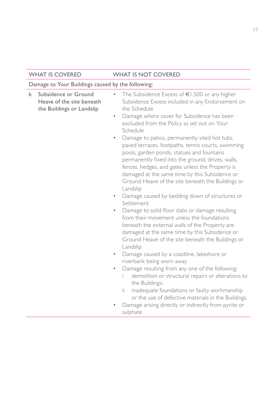| <b>WHAT IS COVERED</b>                                                              | <b>WHAT IS NOT COVERED</b>                                                                                                                                                                                                                                                                                                                                                                                                                                                                                                                                                                                                                                                                                                                                                                                                                                                                                                                                                                                                                                                                                                                                                                                                                                                                                                                                                                                         |
|-------------------------------------------------------------------------------------|--------------------------------------------------------------------------------------------------------------------------------------------------------------------------------------------------------------------------------------------------------------------------------------------------------------------------------------------------------------------------------------------------------------------------------------------------------------------------------------------------------------------------------------------------------------------------------------------------------------------------------------------------------------------------------------------------------------------------------------------------------------------------------------------------------------------------------------------------------------------------------------------------------------------------------------------------------------------------------------------------------------------------------------------------------------------------------------------------------------------------------------------------------------------------------------------------------------------------------------------------------------------------------------------------------------------------------------------------------------------------------------------------------------------|
| Damage to Your Buildings caused by the following:                                   |                                                                                                                                                                                                                                                                                                                                                                                                                                                                                                                                                                                                                                                                                                                                                                                                                                                                                                                                                                                                                                                                                                                                                                                                                                                                                                                                                                                                                    |
| Subsidence or Ground<br>k<br>Heave of the site beneath<br>the Buildings or Landslip | The Subsidence Excess of $\epsilon$ 1,500 or any higher<br>Subsidence Excess included in any Endorsement on<br>the Schedule<br>Damage where cover for Subsidence has been<br>$\bullet$<br>excluded from the Policy as set out on Your<br>Schedule<br>Damage to patios, permanently sited hot tubs,<br>$\bullet$<br>paved terraces, footpaths, tennis courts, swimming<br>pools, garden ponds, statues and fountains<br>permanently fixed into the ground, drives, walls,<br>fences, hedges, and gates unless the Property is<br>damaged at the same time by this Subsidence or<br>Ground Heave of the site beneath the Buildings or<br>Landslip<br>Damage caused by bedding down of structures or<br>Settlement<br>Damage to solid floor slabs or damage resulting<br>$\bullet$<br>from their movement unless the foundations<br>beneath the external walls of the Property are<br>damaged at the same time by this Subsidence or<br>Ground Heave of the site beneath the Buildings or<br>Landslip<br>Damage caused by a coastline, lakeshore or<br>٠<br>riverbank being worn away<br>Damage resulting from any one of the following:<br>$\bullet$<br>demolition or structural repairs or alterations to<br>i.<br>the Buildings;<br>inadequate foundations or faulty workmanship<br>ii.<br>or the use of defective materials in the Buildings.<br>Damage arising directly or indirectly from pyrite or<br>sulphate |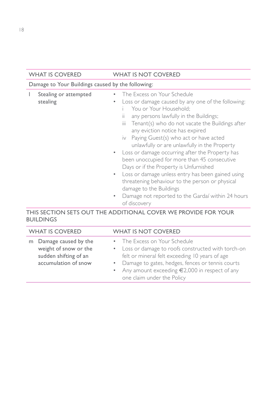| <b>WHAT IS COVERED</b>                            | <b>WHAT IS NOT COVERED</b>                                                                                                                                                                                                                                                                                                                                                                                                                                                                                                                                                                                                                                                                                                                                                |
|---------------------------------------------------|---------------------------------------------------------------------------------------------------------------------------------------------------------------------------------------------------------------------------------------------------------------------------------------------------------------------------------------------------------------------------------------------------------------------------------------------------------------------------------------------------------------------------------------------------------------------------------------------------------------------------------------------------------------------------------------------------------------------------------------------------------------------------|
| Damage to Your Buildings caused by the following: |                                                                                                                                                                                                                                                                                                                                                                                                                                                                                                                                                                                                                                                                                                                                                                           |
| Stealing or attempted<br>stealing                 | The Excess on Your Schedule<br>٠<br>Loss or damage caused by any one of the following:<br>٠<br>You or Your Household:<br>any persons lawfully in the Buildings;<br>$\mathbf{H}$<br>Tenant(s) who do not vacate the Buildings after<br>$\mathbf{III}$<br>any eviction notice has expired<br>iv Paying Guest(s) who act or have acted<br>unlawfully or are unlawfully in the Property<br>Loss or damage occurring after the Property has<br>$\bullet$<br>been unoccupied for more than 45 consecutive<br>Days or if the Property is Unfurnished<br>Loss or damage unless entry has been gained using<br>$\bullet$ .<br>threatening behaviour to the person or physical<br>damage to the Buildings<br>Damage not reported to the Gardaí within 24 hours<br>٠<br>of discovery |
|                                                   | THIS SECTION SETS OUT THE ADDITIONAL COVER WE PROVIDE FOR YOUR                                                                                                                                                                                                                                                                                                                                                                                                                                                                                                                                                                                                                                                                                                            |

## BUILDINGS

| <b>WHAT IS COVERED</b>                                                                           | <b>WHAT IS NOT COVERED</b>                                                                                                                                                                                                                                                    |
|--------------------------------------------------------------------------------------------------|-------------------------------------------------------------------------------------------------------------------------------------------------------------------------------------------------------------------------------------------------------------------------------|
| m Damage caused by the<br>weight of snow or the<br>sudden shifting of an<br>accumulation of snow | • The Excess on Your Schedule<br>• Loss or damage to roofs constructed with torch-on<br>felt or mineral felt exceeding 10 years of age<br>• Damage to gates, hedges, fences or tennis courts<br>• Any amount exceeding €2,000 in respect of any<br>one claim under the Policy |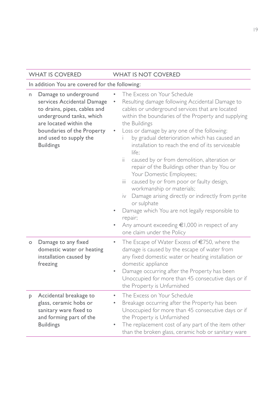| n       | Damage to underground<br>services Accidental Damage<br>to drains, pipes, cables and<br>underground tanks, which<br>are located within the<br>boundaries of the Property<br>and used to supply the<br><b>Buildings</b> | The Excess on Your Schedule<br>Resulting damage following Accidental Damage to<br>cables or underground services that are located<br>within the boundaries of the Property and supplying<br>the Buildings<br>Loss or damage by any one of the following:<br>by gradual deterioration which has caused an<br>installation to reach the end of its serviceable<br>life:<br>ii.<br>caused by or from demolition, alteration or<br>repair of the Buildings other than by You or<br>Your Domestic Employees;<br>caused by or from poor or faulty design,<br>ïй<br>workmanship or materials;<br>iv Damage arising directly or indirectly from pyrite<br>or sulphate<br>Damage which You are not legally responsible to<br>۰<br>repair;<br>Any amount exceeding $\epsilon$ 1,000 in respect of any |
|---------|-----------------------------------------------------------------------------------------------------------------------------------------------------------------------------------------------------------------------|---------------------------------------------------------------------------------------------------------------------------------------------------------------------------------------------------------------------------------------------------------------------------------------------------------------------------------------------------------------------------------------------------------------------------------------------------------------------------------------------------------------------------------------------------------------------------------------------------------------------------------------------------------------------------------------------------------------------------------------------------------------------------------------------|
| $\circ$ | Damage to any fixed<br>domestic water or heating<br>installation caused by<br>freezing                                                                                                                                | one claim under the Policy<br>The Escape of Water Excess of €750, where the<br>$\bullet$<br>damage is caused by the escape of water from<br>any fixed domestic water or heating installation or<br>domestic appliance<br>Damage occurring after the Property has been<br>$\bullet$<br>Unoccupied for more than 45 consecutive days or if<br>the Property is Unfurnished                                                                                                                                                                                                                                                                                                                                                                                                                     |
| P       | Accidental breakage to<br>glass, ceramic hobs or<br>sanitary ware fixed to<br>and forming part of the<br><b>Buildings</b>                                                                                             | The Excess on Your Schedule<br>$\bullet$<br>Breakage occurring after the Property has been<br>٠<br>Unoccupied for more than 45 consecutive days or if<br>the Property is Unfurnished<br>The replacement cost of any part of the item other<br>$\bullet$<br>than the broken glass, ceramic hob or sanitary ware                                                                                                                                                                                                                                                                                                                                                                                                                                                                              |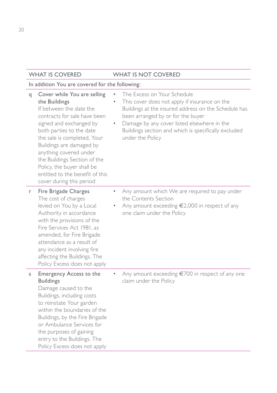| q | Cover while You are selling<br>the Buildings<br>If between the date the<br>contracts for sale have been<br>signed and exchanged by<br>both parties to the date<br>the sale is completed, Your<br>Buildings are damaged by<br>anything covered under<br>the Buildings Section of the<br>Policy, the buyer shall be<br>entitled to the benefit of this<br>cover during this period | $\bullet$ | The Excess on Your Schedule<br>This cover does not apply if insurance on the<br>Buildings at the insured address on the Schedule has<br>been arranged by or for the buyer<br>Damage by any cover listed elsewhere in the<br>Buildings section and which is specifically excluded<br>under the Policy |
|---|----------------------------------------------------------------------------------------------------------------------------------------------------------------------------------------------------------------------------------------------------------------------------------------------------------------------------------------------------------------------------------|-----------|------------------------------------------------------------------------------------------------------------------------------------------------------------------------------------------------------------------------------------------------------------------------------------------------------|
| r | Fire Brigade Charges<br>The cost of charges<br>levied on You by a Local<br>Authority in accordance<br>with the provisions of the<br>Fire Services Act 1981, as<br>amended, for Fire Brigade<br>attendance as a result of<br>any incident involving fire<br>affecting the Buildings. The<br>Policy Excess does not apply                                                          | $\bullet$ | Any amount which We are required to pay under<br>the Contents Section<br>Any amount exceeding $\epsilon$ 2,000 in respect of any<br>one claim under the Policy                                                                                                                                       |
| s | <b>Emergency Access to the</b><br><b>Buildings</b><br>Damage caused to the<br>Buildings, including costs<br>to reinstate Your garden<br>within the boundaries of the<br>Buildings, by the Fire Brigade<br>or Ambulance Services for<br>the purposes of gaining<br>entry to the Buildings. The<br>Policy Excess does not apply                                                    | $\bullet$ | Any amount exceeding $\epsilon$ 700 in respect of any one<br>claim under the Policy                                                                                                                                                                                                                  |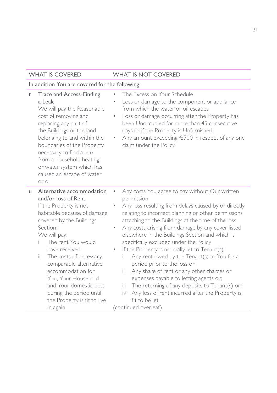| t  | Trace and Access-Finding<br>a Leak<br>We will pay the Reasonable<br>cost of removing and<br>replacing any part of<br>the Buildings or the land<br>belonging to and within the<br>boundaries of the Property<br>necessary to find a leak<br>from a household heating<br>or water system which has<br>caused an escape of water<br>or oil                                                                         | The Excess on Your Schedule<br>Loss or damage to the component or appliance<br>$\bullet$<br>from which the water or oil escapes<br>Loss or damage occurring after the Property has<br>$\bullet$<br>been Unoccupied for more than 45 consecutive<br>days or if the Property is Unfurnished<br>Any amount exceeding €700 in respect of any one<br>claim under the Policy                                                                                                                                                                                                                                                                                                                                                                                                                                       |
|----|-----------------------------------------------------------------------------------------------------------------------------------------------------------------------------------------------------------------------------------------------------------------------------------------------------------------------------------------------------------------------------------------------------------------|--------------------------------------------------------------------------------------------------------------------------------------------------------------------------------------------------------------------------------------------------------------------------------------------------------------------------------------------------------------------------------------------------------------------------------------------------------------------------------------------------------------------------------------------------------------------------------------------------------------------------------------------------------------------------------------------------------------------------------------------------------------------------------------------------------------|
| u. | Alternative accommodation<br>and/or loss of Rent<br>If the Property is not<br>habitable because of damage<br>covered by the Buildings<br>Section:<br>We will pay:<br>The rent You would<br>have received<br>ii.<br>The costs of necessary<br>comparable alternative<br>accommodation for<br>You, Your Household<br>and Your domestic pets<br>during the period until<br>the Property is fit to live<br>in again | Any costs You agree to pay without Our written<br>permission<br>Any loss resulting from delays caused by or directly<br>relating to incorrect planning or other permissions<br>attaching to the Buildings at the time of the loss<br>Any costs arising from damage by any cover listed<br>$\bullet$<br>elsewhere in the Buildings Section and which is<br>specifically excluded under the Policy<br>If the Property is normally let to Tenant(s):<br>$\bullet$<br>Any rent owed by the Tenant(s) to You for a<br>i.<br>period prior to the loss or;<br>Any share of rent or any other charges or<br>ïi<br>expenses payable to letting agents or;<br>The returning of any deposits to Tenant(s) or;<br>iii.<br>Any loss of rent incurred after the Property is<br>iv<br>fit to be let<br>(continued overleaf) |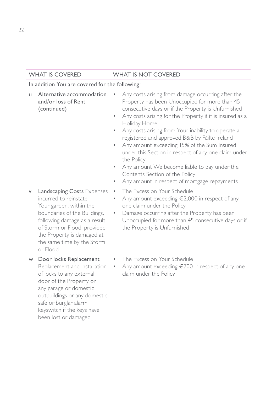|    | <b>WHAT IS COVERED</b>                                                                                                                                                                                                                                 | <b>WHAT IS NOT COVERED</b>                                                                                                                                                                                                                                                                                                                                                                                                                                                                                                                                                                                                                                       |
|----|--------------------------------------------------------------------------------------------------------------------------------------------------------------------------------------------------------------------------------------------------------|------------------------------------------------------------------------------------------------------------------------------------------------------------------------------------------------------------------------------------------------------------------------------------------------------------------------------------------------------------------------------------------------------------------------------------------------------------------------------------------------------------------------------------------------------------------------------------------------------------------------------------------------------------------|
|    | In addition You are covered for the following:                                                                                                                                                                                                         |                                                                                                                                                                                                                                                                                                                                                                                                                                                                                                                                                                                                                                                                  |
| u. | Alternative accommodation<br>and/or loss of Rent<br>(continued)                                                                                                                                                                                        | Any costs arising from damage occurring after the<br>۰<br>Property has been Unoccupied for more than 45<br>consecutive days or if the Property is Unfurnished<br>Any costs arising for the Property if it is insured as a<br>$\bullet$<br>Holiday Home<br>Any costs arising from Your inability to operate a<br>$\bullet$<br>registered and approved B&B by Fáilte Ireland<br>Any amount exceeding 15% of the Sum Insured<br>$\bullet$<br>under this Section in respect of any one claim under<br>the Policy<br>Any amount We become liable to pay under the<br>$\bullet$<br>Contents Section of the Policy<br>Any amount in respect of mortgage repayments<br>۰ |
| V  | Landscaping Costs Expenses<br>incurred to reinstate<br>Your garden, within the<br>boundaries of the Buildings,<br>following damage as a result<br>of Storm or Flood, provided<br>the Property is damaged at<br>the same time by the Storm<br>or Flood  | The Excess on Your Schedule<br>$\bullet$<br>Any amount exceeding €2,000 in respect of any<br>٠<br>one claim under the Policy<br>Damage occurring after the Property has been<br>۰<br>Unoccupied for more than 45 consecutive days or if<br>the Property is Unfurnished                                                                                                                                                                                                                                                                                                                                                                                           |
| W  | Door locks Replacement<br>Replacement and installation<br>of locks to any external<br>door of the Property or<br>any garage or domestic<br>outbuildings or any domestic<br>safe or burglar alarm<br>keyswitch if the keys have<br>been lost or damaged | The Excess on Your Schedule<br>$\bullet$<br>Any amount exceeding €700 in respect of any one<br>claim under the Policy                                                                                                                                                                                                                                                                                                                                                                                                                                                                                                                                            |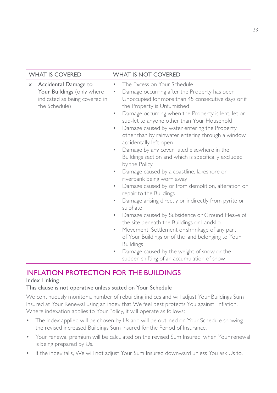|          | <b>WHAT IS COVERED</b>                                                                               | <b>WHAT IS NOT COVERED</b>                                                                                                                                                                                                                                                                                                                                                                                                                                                                                                                                                                                                                                                                                                                                                                                                                                                                                                                                                                                                                                                                                                                                                                            |
|----------|------------------------------------------------------------------------------------------------------|-------------------------------------------------------------------------------------------------------------------------------------------------------------------------------------------------------------------------------------------------------------------------------------------------------------------------------------------------------------------------------------------------------------------------------------------------------------------------------------------------------------------------------------------------------------------------------------------------------------------------------------------------------------------------------------------------------------------------------------------------------------------------------------------------------------------------------------------------------------------------------------------------------------------------------------------------------------------------------------------------------------------------------------------------------------------------------------------------------------------------------------------------------------------------------------------------------|
| $\times$ | Accidental Damage to<br>Your Buildings (only where<br>indicated as being covered in<br>the Schedule) | The Excess on Your Schedule<br>۰<br>Damage occurring after the Property has been<br>٠<br>Unoccupied for more than 45 consecutive days or if<br>the Property is Unfurnished<br>Damage occurring when the Property is lent, let or<br>$\bullet$<br>sub-let to anyone other than Your Household<br>Damage caused by water entering the Property<br>$\bullet$<br>other than by rainwater entering through a window<br>accidentally left open<br>Damage by any cover listed elsewhere in the<br>$\bullet$<br>Buildings section and which is specifically excluded<br>by the Policy<br>Damage caused by a coastline, lakeshore or<br>$\bullet$<br>riverbank being worn away<br>Damage caused by or from demolition, alteration or<br>$\bullet$<br>repair to the Buildings<br>Damage arising directly or indirectly from pyrite or<br>sulphate<br>Damage caused by Subsidence or Ground Heave of<br>$\bullet$<br>the site beneath the Buildings or Landslip<br>Movement, Settlement or shrinkage of any part<br>$\bullet$<br>of Your Buildings or of the land belonging to Your<br><b>Buildings</b><br>Damage caused by the weight of snow or the<br>$\bullet$<br>sudden shifting of an accumulation of snow |

### INFLATION PROTECTION FOR THE BUILDINGS

#### Index Linking

#### This clause is not operative unless stated on Your Schedule

We continuously monitor a number of rebuilding indices and will adjust Your Buildings Sum Insured at Your Renewal using an index that We feel best protects You against inflation. Where indexation applies to Your Policy, it will operate as follows:

- The index applied will be chosen by Us and will be outlined on Your Schedule showing the revised increased Buildings Sum Insured for the Period of Insurance.
- Your renewal premium will be calculated on the revised Sum Insured, when Your renewal is being prepared by Us.
- If the index falls, We will not adjust Your Sum Insured downward unless You ask Us to.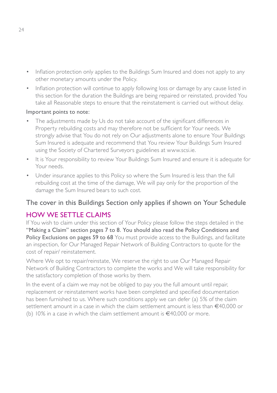- Inflation protection only applies to the Buildings Sum Insured and does not apply to any other monetary amounts under the Policy.
- Inflation protection will continue to apply following loss or damage by any cause listed in this section for the duration the Buildings are being repaired or reinstated, provided You take all Reasonable steps to ensure that the reinstatement is carried out without delay.

#### Important points to note:

- The adjustments made by Us do not take account of the significant differences in Property rebuilding costs and may therefore not be sufficient for Your needs. We strongly advise that You do not rely on Our adjustments alone to ensure Your Buildings Sum Insured is adequate and recommend that You review Your Buildings Sum Insured using the Society of Chartered Surveyors guidelines at www.scsi.ie.
- It is Your responsibility to review Your Buildings Sum Insured and ensure it is adequate for Your needs.
- Under insurance applies to this Policy so where the Sum Insured is less than the full rebuilding cost at the time of the damage, We will pay only for the proportion of the damage the Sum Insured bears to such cost.

### The cover in this Buildings Section only applies if shown on Your Schedule

### HOW WE SETTLE CLAIMS

If You wish to claim under this section of Your Policy please follow the steps detailed in the "Making a Claim" section pages 7 to 8. You should also read the Policy Conditions and Policy Exclusions on pages 59 to 68 You must provide access to the Buildings, and facilitate an inspection, for Our Managed Repair Network of Building Contractors to quote for the cost of repair/ reinstatement.

Where We opt to repair/reinstate, We reserve the right to use Our Managed Repair Network of Building Contractors to complete the works and We will take responsibility for the satisfactory completion of those works by them.

In the event of a claim we may not be obliged to pay you the full amount until repair, replacement or reinstatement works have been completed and specified documentation has been furnished to us. Where such conditions apply we can defer (a) 5% of the claim settlement amount in a case in which the claim settlement amount is less than €40,000 or (b)  $10\%$  in a case in which the claim settlement amount is  $\epsilon$ 40,000 or more.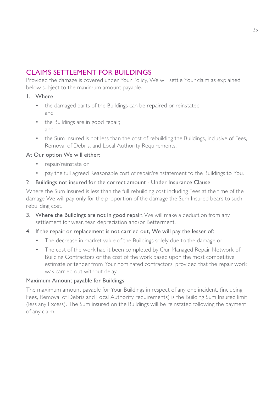### CLAIMS SETTLEMENT FOR BUILDINGS

Provided the damage is covered under Your Policy, We will settle Your claim as explained below subject to the maximum amount payable.

#### 1. Where

- the damaged parts of the Buildings can be repaired or reinstated and
- the Buildings are in good repair, and
- the Sum Insured is not less than the cost of rebuilding the Buildings, inclusive of Fees, Removal of Debris, and Local Authority Requirements.

#### At Our option We will either:

- repair/reinstate or
- pay the full agreed Reasonable cost of repair/reinstatement to the Buildings to You.

#### 2. Buildings not insured for the correct amount - Under Insurance Clause

Where the Sum Insured is less than the full rebuilding cost including Fees at the time of the damage We will pay only for the proportion of the damage the Sum Insured bears to such rebuilding cost.

3. Where the Buildings are not in good repair, We will make a deduction from any settlement for wear, tear, depreciation and/or Betterment.

#### 4. If the repair or replacement is not carried out, We will pay the lesser of:

- The decrease in market value of the Buildings solely due to the damage or
- The cost of the work had it been completed by Our Managed Repair Network of Building Contractors or the cost of the work based upon the most competitive estimate or tender from Your nominated contractors, provided that the repair work was carried out without delay.

#### Maximum Amount payable for Buildings

The maximum amount payable for Your Buildings in respect of any one incident, (including Fees, Removal of Debris and Local Authority requirements) is the Building Sum Insured limit (less any Excess). The Sum insured on the Buildings will be reinstated following the payment of any claim.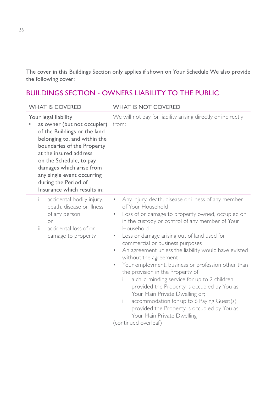The cover in this Buildings Section only applies if shown on Your Schedule We also provide the following cover:

### BUILDINGS SECTION - OWNERS LIABILITY TO THE PUBLIC

| <b>WHAT IS COVERED</b>                                                                                                                                                                                                                                                                                                  | <b>WHAT IS NOT COVERED</b>                                                                                                                                                                                                                                                                                                                                                                                                                                                                                                                                                                                                                                                                                                                                                                |
|-------------------------------------------------------------------------------------------------------------------------------------------------------------------------------------------------------------------------------------------------------------------------------------------------------------------------|-------------------------------------------------------------------------------------------------------------------------------------------------------------------------------------------------------------------------------------------------------------------------------------------------------------------------------------------------------------------------------------------------------------------------------------------------------------------------------------------------------------------------------------------------------------------------------------------------------------------------------------------------------------------------------------------------------------------------------------------------------------------------------------------|
| Your legal liability<br>as owner (but not occupier)<br>of the Buildings or the land<br>belonging to, and within the<br>boundaries of the Property<br>at the insured address<br>on the Schedule, to pay<br>damages which arise from<br>any single event occurring<br>during the Period of<br>Insurance which results in: | We will not pay for liability arising directly or indirectly<br>from:                                                                                                                                                                                                                                                                                                                                                                                                                                                                                                                                                                                                                                                                                                                     |
| accidental bodily injury,<br>Ť.<br>death, disease or illness<br>of any person<br>or<br>ii.<br>accidental loss of or<br>damage to property                                                                                                                                                                               | Any injury, death, disease or illness of any member<br>of Your Household<br>Loss of or damage to property owned, occupied or<br>in the custody or control of any member of Your<br>Household<br>Loss or damage arising out of land used for<br>٠<br>commercial or business purposes<br>An agreement unless the liability would have existed<br>$\bullet$<br>without the agreement<br>Your employment, business or profession other than<br>$\bullet$<br>the provision in the Property of:<br>a child minding service for up to 2 children<br>i.<br>provided the Property is occupied by You as<br>Your Main Private Dwelling or;<br>accommodation for up to 6 Paying Guest(s)<br>ii.<br>provided the Property is occupied by You as<br>Your Main Private Dwelling<br>(continued overleaf) |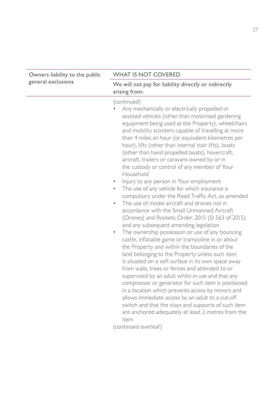| Owners liability to the public | <b>WHAT IS NOT COVERED</b>                                                                                                                                                                                                                                                                                                                                                                                                                                                                                                                                                                                                                                                                                                                                                                                                                                                                                                                                                                                                                                                                                                                                                                                                                                                                                                                                                                                                                                                                                                                                         |  |  |
|--------------------------------|--------------------------------------------------------------------------------------------------------------------------------------------------------------------------------------------------------------------------------------------------------------------------------------------------------------------------------------------------------------------------------------------------------------------------------------------------------------------------------------------------------------------------------------------------------------------------------------------------------------------------------------------------------------------------------------------------------------------------------------------------------------------------------------------------------------------------------------------------------------------------------------------------------------------------------------------------------------------------------------------------------------------------------------------------------------------------------------------------------------------------------------------------------------------------------------------------------------------------------------------------------------------------------------------------------------------------------------------------------------------------------------------------------------------------------------------------------------------------------------------------------------------------------------------------------------------|--|--|
| general exclusions             | We will not pay for liability directly or indirectly<br>arising from:                                                                                                                                                                                                                                                                                                                                                                                                                                                                                                                                                                                                                                                                                                                                                                                                                                                                                                                                                                                                                                                                                                                                                                                                                                                                                                                                                                                                                                                                                              |  |  |
|                                | (continued)<br>Any mechanically or electrically propelled or<br>assisted vehicles (other than motorised gardening<br>equipment being used at the Property), wheelchairs<br>and mobility scooters capable of travelling at more<br>than 4 miles an hour (or equivalent kilometres per<br>hour), lifts (other than internal stair lifts), boats<br>(other than hand propelled boats), hovercraft,<br>aircraft, trailers or caravans owned by or in<br>the custody or control of any member of Your<br>Household<br>Injury to any person in Your employment<br>The use of any vehicle for which insurance is<br>$\bullet$<br>compulsory under the Road Traffic Act, as amended<br>The use of model aircraft and drones not in<br>$\bullet$<br>accordance with the Small Unmanned Aircraft<br>(Drones) and Rockets Order, 2015 (SI 563 of 2015)<br>and any subsequent amending legislation<br>The ownership possession or use of any bouncing<br>$\bullet$<br>castle, inflatable game or trampoline in or about<br>the Property and within the boundaries of the<br>land belonging to the Property unless such item<br>is situated on a soft surface in its own space away<br>from walls, trees or fences and attended to or<br>supervised by an adult whilst in use and that any<br>compressor or generator for such item is positioned<br>in a location which prevents access by minors and<br>allows immediate access by an adult to a cut-off<br>switch and that the stays and supports of such item<br>are anchored adequately at least 2 metres from the<br>item |  |  |
|                                | (continued overleaf)                                                                                                                                                                                                                                                                                                                                                                                                                                                                                                                                                                                                                                                                                                                                                                                                                                                                                                                                                                                                                                                                                                                                                                                                                                                                                                                                                                                                                                                                                                                                               |  |  |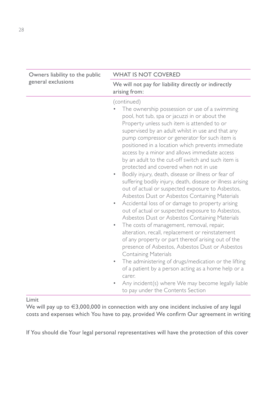| Owners liability to the public | <b>WHAT IS NOT COVERED</b>                                                                                                                                                                                                                                                                                                                                                                                                                                                                                                                                                                                                                                                                                                                                                                                                                                                                                                                                                                                                                                                                                                                                                                                                                                                                                                                                            |  |  |  |
|--------------------------------|-----------------------------------------------------------------------------------------------------------------------------------------------------------------------------------------------------------------------------------------------------------------------------------------------------------------------------------------------------------------------------------------------------------------------------------------------------------------------------------------------------------------------------------------------------------------------------------------------------------------------------------------------------------------------------------------------------------------------------------------------------------------------------------------------------------------------------------------------------------------------------------------------------------------------------------------------------------------------------------------------------------------------------------------------------------------------------------------------------------------------------------------------------------------------------------------------------------------------------------------------------------------------------------------------------------------------------------------------------------------------|--|--|--|
| general exclusions             | We will not pay for liability directly or indirectly<br>arising from:                                                                                                                                                                                                                                                                                                                                                                                                                                                                                                                                                                                                                                                                                                                                                                                                                                                                                                                                                                                                                                                                                                                                                                                                                                                                                                 |  |  |  |
|                                | (continued)<br>The ownership possession or use of a swimming<br>pool, hot tub, spa or jacuzzi in or about the<br>Property unless such item is attended to or<br>supervised by an adult whilst in use and that any<br>pump compressor or generator for such item is<br>positioned in a location which prevents immediate<br>access by a minor and allows immediate access<br>by an adult to the cut-off switch and such item is<br>protected and covered when not in use<br>Bodily injury, death, disease or illness or fear of<br>$\bullet$<br>suffering bodily injury, death, disease or illness arising<br>out of actual or suspected exposure to Asbestos,<br>Asbestos Dust or Asbestos Containing Materials<br>Accidental loss of or damage to property arising<br>$\bullet$<br>out of actual or suspected exposure to Asbestos,<br>Asbestos Dust or Asbestos Containing Materials<br>The costs of management, removal, repair,<br>$\bullet$<br>alteration, recall, replacement or reinstatement<br>of any property or part thereof arising out of the<br>presence of Asbestos, Asbestos Dust or Asbestos<br><b>Containing Materials</b><br>The administering of drugs/medication or the lifting<br>۰<br>of a patient by a person acting as a home help or a<br>carer.<br>Any incident(s) where We may become legally liable<br>to pay under the Contents Section |  |  |  |

Limit

We will pay up to €3,000,000 in connection with any one incident inclusive of any legal costs and expenses which You have to pay, provided We confirm Our agreement in writing

If You should die Your legal personal representatives will have the protection of this cover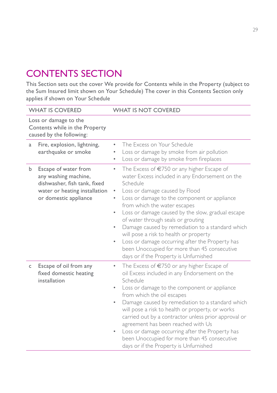## CONTENTS SECTION

This Section sets out the cover We provide for Contents while in the Property (subject to the Sum Insured limit shown on Your Schedule) The cover in this Contents Section only applies if shown on Your Schedule

| <b>WHAT IS COVERED</b>                                                                                                                       | <b>WHAT IS NOT COVERED</b>                                                                                                                                                                                                                                                                                                                                                                                                                                                                                                                                                                                                      |  |
|----------------------------------------------------------------------------------------------------------------------------------------------|---------------------------------------------------------------------------------------------------------------------------------------------------------------------------------------------------------------------------------------------------------------------------------------------------------------------------------------------------------------------------------------------------------------------------------------------------------------------------------------------------------------------------------------------------------------------------------------------------------------------------------|--|
| Loss or damage to the<br>Contents while in the Property<br>caused by the following:                                                          |                                                                                                                                                                                                                                                                                                                                                                                                                                                                                                                                                                                                                                 |  |
| Fire, explosion, lightning,<br>a<br>earthquake or smoke                                                                                      | The Excess on Your Schedule<br>Loss or damage by smoke from air pollution<br>۰<br>Loss or damage by smoke from fireplaces<br>$\bullet$                                                                                                                                                                                                                                                                                                                                                                                                                                                                                          |  |
| Escape of water from<br>b.<br>any washing machine,<br>dishwasher, fish tank, fixed<br>water or heating installation<br>or domestic appliance | The Excess of €750 or any higher Escape of<br>$\bullet$<br>water Excess included in any Endorsement on the<br>Schedule<br>Loss or damage caused by Flood<br>٠<br>Loss or damage to the component or appliance<br>۰<br>from which the water escapes<br>Loss or damage caused by the slow, gradual escape<br>$\bullet$<br>of water through seals or grouting<br>Damage caused by remediation to a standard which<br>$\bullet$<br>will pose a risk to health or property<br>Loss or damage occurring after the Property has<br>$\bullet$<br>been Unoccupied for more than 45 consecutive<br>days or if the Property is Unfurnished |  |
| Escape of oil from any<br>c<br>fixed domestic heating<br>installation                                                                        | The Excess of $\epsilon$ 750 or any higher Escape of<br>۰<br>oil Excess included in any Endorsement on the<br>Schedule<br>Loss or damage to the component or appliance<br>$\bullet$<br>from which the oil escapes<br>Damage caused by remediation to a standard which<br>will pose a risk to health or property, or works<br>carried out by a contractor unless prior approval or<br>agreement has been reached with Us<br>Loss or damage occurring after the Property has<br>$\bullet$<br>been Unoccupied for more than 45 consecutive<br>days or if the Property is Unfurnished                                               |  |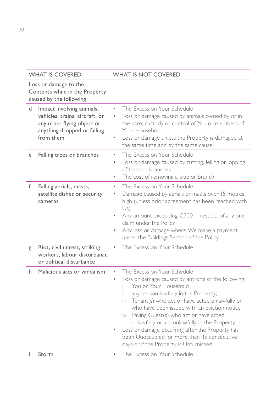#### WHAT IS COVERED WHAT IS NOT COVERED Loss or damage to the Contents while in the Property caused by the following: d Impact involving animals, vehicles, trains, aircraft, or any other flying object or anything dropped or falling from them • The Excess on Your Schedule Loss or damage caused by animals owned by or in the care, custody or control of You or members of Your Household Loss or damage unless the Property is damaged at the same time and by the same cause e Falling trees or branches • The Excess on Your Schedule Loss or damage caused by cutting, felling or lopping of trees or branches • The cost of removing a tree or branch f Falling aerials, masts, satellite dishes or security cameras The Excess on Your Schedule Damage caused by aerials or masts over 15 metres high (unless prior agreement has been reached with  $U<sub>S</sub>$ Any amount exceeding  $\epsilon$ 700 in respect of any one claim under the Policy • Any loss or damage where We make a payment under the Buildings Section of the Policy g Riot, civil unrest, striking workers, labour disturbance or political disturbance The Excess on Your Schedule h Malicious acts or vandalism • The Excess on Your Schedule Loss or damage caused by any one of the following: i You or Your Household ii any person lawfully in the Property; iii Tenant(s) who act or have acted unlawfully or who have been issued with an eviction notice iv Paying Guest(s) who act or have acted unlawfully or are unlawfully in the Property Loss or damage occurring after the Property has been Unoccupied for more than 45 consecutive days or if the Property is Unfurnished i Storm • The Excess on Your Schedule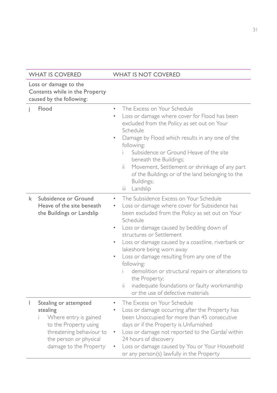#### Loss or damage to the Contents while in the Property caused by the following:

|   | caused by the following:                                                                                                                                            |                                                                                                                                                                                                                                                                                                                                                                                                                                                                                                                                                                                                              |
|---|---------------------------------------------------------------------------------------------------------------------------------------------------------------------|--------------------------------------------------------------------------------------------------------------------------------------------------------------------------------------------------------------------------------------------------------------------------------------------------------------------------------------------------------------------------------------------------------------------------------------------------------------------------------------------------------------------------------------------------------------------------------------------------------------|
| I | Flood                                                                                                                                                               | The Excess on Your Schedule<br>$\bullet$<br>Loss or damage where cover for Flood has been<br>$\bullet$<br>excluded from the Policy as set out on Your<br>Schedule<br>Damage by Flood which results in any one of the<br>$\bullet$<br>following:<br>Subsidence or Ground Heave of the site<br>beneath the Buildings;<br>Movement, Settlement or shrinkage of any part<br>Ïİ.<br>of the Buildings or of the land belonging to the<br>Buildings;<br>Landslip<br>ïй                                                                                                                                              |
| k | Subsidence or Ground<br>Heave of the site beneath<br>the Buildings or Landslip                                                                                      | The Subsidence Excess on Your Schedule<br>$\bullet$<br>Loss or damage where cover for Subsidence has<br>۰<br>been excluded from the Policy as set out on Your<br>Schedule<br>Loss or damage caused by bedding down of<br>$\bullet$<br>structures or Settlement<br>Loss or damage caused by a coastline, riverbank or<br>$\bullet$<br>lakeshore being worn away<br>Loss or damage resulting from any one of the<br>$\bullet$<br>following:<br>demolition or structural repairs or alterations to<br>the Property;<br>inadequate foundations or faulty workmanship<br>ii.<br>or the use of defective materials |
| I | Stealing or attempted<br>stealing<br>Where entry is gained<br>to the Property using<br>threatening behaviour to<br>the person or physical<br>damage to the Property | The Excess on Your Schedule<br>$\bullet$<br>Loss or damage occurring after the Property has<br>$\bullet$<br>been Unoccupied for more than 45 consecutive<br>days or if the Property is Unfurnished<br>Loss or damage not reported to the Gardaí within<br>۰<br>24 hours of discovery<br>Loss or damage caused by You or Your Household<br>or any person(s) lawfully in the Property                                                                                                                                                                                                                          |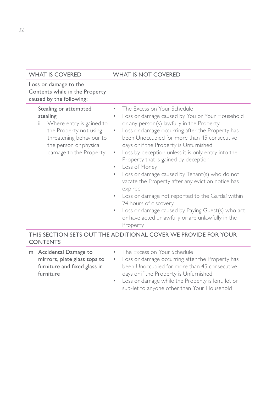#### Loss or damage to the Contents while in the Property caused by the following:

| The Excess on Your Schedule<br>Stealing or attempted<br>Loss or damage caused by You or Your Household<br>stealing<br>or any person(s) lawfully in the Property<br>Where entry is gained to<br>ii.<br>Loss or damage occurring after the Property has<br>the Property not using<br>$\bullet$ .<br>threatening behaviour to<br>been Unoccupied for more than 45 consecutive<br>days or if the Property is Unfurnished<br>the person or physical<br>Loss by deception unless it is only entry into the<br>damage to the Property<br>Property that is gained by deception<br>Loss of Money<br>$\bullet$<br>Loss or damage caused by Tenant(s) who do not<br>$\bullet$<br>vacate the Property after any eviction notice has<br>expired<br>• Loss or damage not reported to the Gardaí within<br>24 hours of discovery<br>Loss or damage caused by Paying Guest(s) who act<br>$\bullet$ .<br>or have acted unlawfully or are unlawfully in the<br>Property |  |  |
|-------------------------------------------------------------------------------------------------------------------------------------------------------------------------------------------------------------------------------------------------------------------------------------------------------------------------------------------------------------------------------------------------------------------------------------------------------------------------------------------------------------------------------------------------------------------------------------------------------------------------------------------------------------------------------------------------------------------------------------------------------------------------------------------------------------------------------------------------------------------------------------------------------------------------------------------------------|--|--|
|                                                                                                                                                                                                                                                                                                                                                                                                                                                                                                                                                                                                                                                                                                                                                                                                                                                                                                                                                       |  |  |

#### THIS SECTION SETS OUT THE ADDITIONAL COVER WE PROVIDE FOR YOUR **CONTENTS**

| m Accidental Damage to       | • The Excess on Your Schedule                       |
|------------------------------|-----------------------------------------------------|
| mirrors, plate glass tops to | • Loss or damage occurring after the Property has   |
| furniture and fixed glass in | been Unoccupied for more than 45 consecutive        |
| furniture                    | days or if the Property is Unfurnished              |
|                              | • Loss or damage while the Property is lent, let or |
|                              | sub-let to anyone other than Your Household         |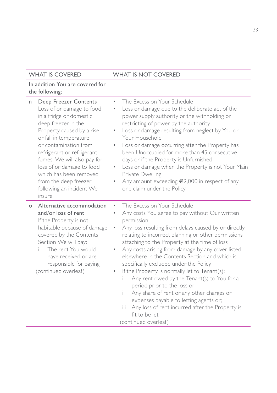| n       | Deep Freezer Contents<br>Loss of or damage to food<br>in a fridge or domestic<br>deep freezer in the<br>Property caused by a rise<br>or fall in temperature<br>or contamination from<br>refrigerant or refrigerant<br>fumes. We will also pay for<br>loss of or damage to food<br>which has been removed<br>from the deep freezer<br>following an incident We<br>insure | The Excess on Your Schedule<br>$\bullet$<br>Loss or damage due to the deliberate act of the<br>power supply authority or the withholding or<br>restricting of power by the authority<br>Loss or damage resulting from neglect by You or<br>۰<br>Your Household<br>Loss or damage occurring after the Property has<br>$\bullet$<br>been Unoccupied for more than 45 consecutive<br>days or if the Property is Unfurnished<br>Loss or damage when the Property is not Your Main<br>۰<br>Private Dwelling<br>Any amount exceeding €2,000 in respect of any<br>۰<br>one claim under the Policy                                                                                                                                                                                             |
|---------|-------------------------------------------------------------------------------------------------------------------------------------------------------------------------------------------------------------------------------------------------------------------------------------------------------------------------------------------------------------------------|----------------------------------------------------------------------------------------------------------------------------------------------------------------------------------------------------------------------------------------------------------------------------------------------------------------------------------------------------------------------------------------------------------------------------------------------------------------------------------------------------------------------------------------------------------------------------------------------------------------------------------------------------------------------------------------------------------------------------------------------------------------------------------------|
| $\circ$ | Alternative accommodation<br>and/or loss of rent<br>If the Property is not<br>habitable because of damage<br>covered by the Contents<br>Section We will pay:<br>The rent You would<br>have received or are<br>responsible for paying<br>(continued overleaf)                                                                                                            | The Excess on Your Schedule<br>$\bullet$<br>Any costs You agree to pay without Our written<br>۰<br>permission<br>Any loss resulting from delays caused by or directly<br>$\bullet$<br>relating to incorrect planning or other permissions<br>attaching to the Property at the time of loss<br>Any costs arising from damage by any cover listed<br>۰<br>elsewhere in the Contents Section and which is<br>specifically excluded under the Policy<br>If the Property is normally let to Tenant(s):<br>۰<br>Any rent owed by the Tenant(s) to You for a<br>period prior to the loss or;<br>ii.<br>Any share of rent or any other charges or<br>expenses payable to letting agents or;<br>Ϊij<br>Any loss of rent incurred after the Property is<br>fit to be let<br>(continued overleaf) |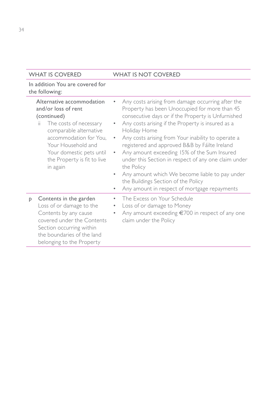|   | Alternative accommodation<br>and/or loss of rent<br>(continued)<br>The costs of necessary<br>ii.<br>comparable alternative<br>accommodation for You,<br>Your Household and<br>Your domestic pets until<br>the Property is fit to live<br>in again | ٠<br>$\bullet$<br>$\bullet$<br>۰ | Any costs arising from damage occurring after the<br>Property has been Unoccupied for more than 45<br>consecutive days or if the Property is Unfurnished<br>Any costs arising if the Property is insured as a<br>Holiday Home<br>Any costs arising from Your inability to operate a<br>registered and approved B&B by Fáilte Ireland<br>Any amount exceeding 15% of the Sum Insured<br>under this Section in respect of any one claim under<br>the Policy<br>Any amount which We become liable to pay under<br>the Buildings Section of the Policy<br>Any amount in respect of mortgage repayments |
|---|---------------------------------------------------------------------------------------------------------------------------------------------------------------------------------------------------------------------------------------------------|----------------------------------|----------------------------------------------------------------------------------------------------------------------------------------------------------------------------------------------------------------------------------------------------------------------------------------------------------------------------------------------------------------------------------------------------------------------------------------------------------------------------------------------------------------------------------------------------------------------------------------------------|
| P | Contents in the garden<br>Loss of or damage to the<br>Contents by any cause<br>covered under the Contents<br>Section occurring within<br>the boundaries of the land<br>belonging to the Property                                                  | ۰<br>۰<br>٠                      | The Excess on Your Schedule<br>Loss of or damage to Money<br>Any amount exceeding €700 in respect of any one<br>claim under the Policy                                                                                                                                                                                                                                                                                                                                                                                                                                                             |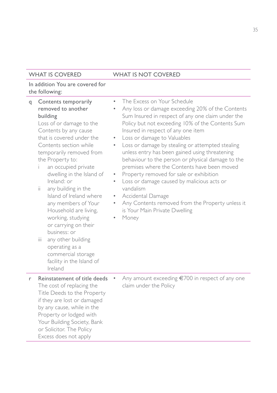| q | Contents temporarily<br>removed to another<br>building<br>Loss of or damage to the<br>Contents by any cause<br>that is covered under the<br>Contents section while<br>temporarily removed from<br>the Property to:<br>an occupied private<br>i.<br>dwelling in the Island of<br>Ireland: or<br>ii.<br>any building in the<br>Island of Ireland where<br>any members of Your<br>Household are living,<br>working, studying<br>or carrying on their<br>business: or<br>any other building<br>iii.<br>operating as a<br>commercial storage<br>facility in the Island of<br>Ireland | $\bullet$<br>$\bullet$<br>$\bullet$<br>$\bullet$<br>$\bullet$<br>$\bullet$<br>۰<br>$\bullet$ | The Excess on Your Schedule<br>Any loss or damage exceeding 20% of the Contents<br>Sum Insured in respect of any one claim under the<br>Policy but not exceeding 10% of the Contents Sum<br>Insured in respect of any one item<br>Loss or damage to Valuables<br>Loss or damage by stealing or attempted stealing<br>unless entry has been gained using threatening<br>behaviour to the person or physical damage to the<br>premises where the Contents have been moved<br>Property removed for sale or exhibition<br>Loss or damage caused by malicious acts or<br>vandalism<br>Accidental Damage<br>Any Contents removed from the Property unless it<br>is Your Main Private Dwelling<br>Money |
|---|---------------------------------------------------------------------------------------------------------------------------------------------------------------------------------------------------------------------------------------------------------------------------------------------------------------------------------------------------------------------------------------------------------------------------------------------------------------------------------------------------------------------------------------------------------------------------------|----------------------------------------------------------------------------------------------|--------------------------------------------------------------------------------------------------------------------------------------------------------------------------------------------------------------------------------------------------------------------------------------------------------------------------------------------------------------------------------------------------------------------------------------------------------------------------------------------------------------------------------------------------------------------------------------------------------------------------------------------------------------------------------------------------|
| r | Reinstatement of title deeds<br>The cost of replacing the<br>Title Deeds to the Property<br>if they are lost or damaged<br>by any cause, while in the<br>Property or lodged with<br>Your Building Society, Bank<br>or Solicitor. The Policy<br>Excess does not apply                                                                                                                                                                                                                                                                                                            | $\bullet$                                                                                    | Any amount exceeding $\epsilon$ 700 in respect of any one<br>claim under the Policy                                                                                                                                                                                                                                                                                                                                                                                                                                                                                                                                                                                                              |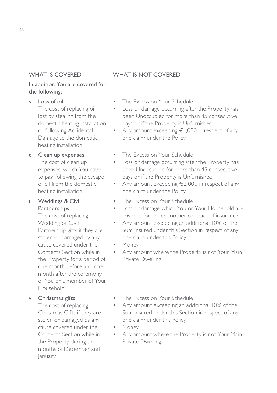| S  | Loss of oil<br>The cost of replacing oil<br>lost by stealing from the<br>domestic heating installation<br>or following Accidental<br>Damage to the domestic<br>heating installation                                                                                                                                                   | The Excess on Your Schedule<br>$\bullet$<br>Loss or damage occurring after the Property has<br>۰<br>been Unoccupied for more than 45 consecutive<br>days or if the Property is Unfurnished<br>Any amount exceeding $\epsilon$ 1,000 in respect of any<br>$\bullet$<br>one claim under the Policy                                                                        |
|----|---------------------------------------------------------------------------------------------------------------------------------------------------------------------------------------------------------------------------------------------------------------------------------------------------------------------------------------|-------------------------------------------------------------------------------------------------------------------------------------------------------------------------------------------------------------------------------------------------------------------------------------------------------------------------------------------------------------------------|
| t  | Clean up expenses<br>The cost of clean up<br>expenses, which You have<br>to pay, following the escape<br>of oil from the domestic<br>heating installation                                                                                                                                                                             | The Excess on Your Schedule<br>٠<br>Loss or damage occurring after the Property has<br>۰<br>been Unoccupied for more than 45 consecutive<br>days or if the Property is Unfurnished<br>Any amount exceeding €2,000 in respect of any<br>۰<br>one claim under the Policy                                                                                                  |
| u  | Weddings & Civil<br>Partnerships<br>The cost of replacing<br>Wedding or Civil<br>Partnership gifts if they are<br>stolen or damaged by any<br>cause covered under the<br>Contents Section while in<br>the Property for a period of<br>one month before and one<br>month after the ceremony<br>of You or a member of Your<br>Household | The Excess on Your Schedule<br>٠<br>Loss or damage which You or Your Household are<br>٠<br>covered for under another contract of insurance<br>Any amount exceeding an additional 10% of the<br>۰<br>Sum Insured under this Section in respect of any<br>one claim under this Policy<br>Money<br>۰<br>Any amount where the Property is not Your Main<br>Private Dwelling |
| v. | Christmas gifts<br>The cost of replacing<br>Christmas Gifts if they are<br>stolen or damaged by any<br>cause covered under the<br>Contents Section while in<br>the Property during the<br>months of December and<br><i>anuary</i>                                                                                                     | The Excess on Your Schedule<br>۰<br>Any amount exceeding an additional 10% of the<br>۰<br>Sum Insured under this Section in respect of any<br>one claim under this Policy<br>Money<br>Any amount where the Property is not Your Main<br>۰<br>Private Dwelling                                                                                                           |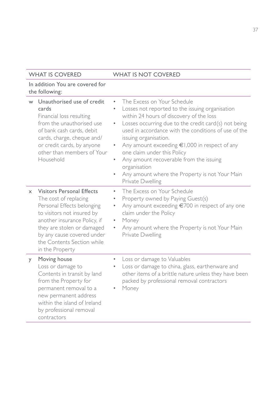|          | w Unauthorised use of credit<br>cards<br>Financial loss resulting<br>from the unauthorised use<br>of bank cash cards, debit<br>cards, charge, cheque and/<br>or credit cards, by anyone<br>other than members of Your<br>Household                                 | The Excess on Your Schedule<br>۰<br>Losses not reported to the issuing organisation<br>$\bullet$<br>within 24 hours of discovery of the loss<br>Losses occurring due to the credit card(s) not being<br>$\bullet$<br>used in accordance with the conditions of use of the<br>issuing organisation.<br>Any amount exceeding $\in$ 1,000 in respect of any<br>٠<br>one claim under this Policy<br>Any amount recoverable from the issuing<br>٠<br>organisation<br>Any amount where the Property is not Your Main<br>٠<br>Private Dwelling |
|----------|--------------------------------------------------------------------------------------------------------------------------------------------------------------------------------------------------------------------------------------------------------------------|-----------------------------------------------------------------------------------------------------------------------------------------------------------------------------------------------------------------------------------------------------------------------------------------------------------------------------------------------------------------------------------------------------------------------------------------------------------------------------------------------------------------------------------------|
| $\times$ | <b>Visitors Personal Effects</b><br>The cost of replacing<br>Personal Effects belonging<br>to visitors not insured by<br>another insurance Policy, if<br>they are stolen or damaged<br>by any cause covered under<br>the Contents Section while<br>in the Property | The Excess on Your Schedule<br>$\bullet$<br>Property owned by Paying Guest(s)<br>٠<br>Any amount exceeding €700 in respect of any one<br>$\bullet$<br>claim under the Policy<br>Money<br>٠<br>Any amount where the Property is not Your Main<br>Private Dwelling                                                                                                                                                                                                                                                                        |
| y        | Moving house<br>Loss or damage to<br>Contents in transit by land<br>from the Property for<br>permanent removal to a<br>new permanent address<br>within the island of Ireland<br>by professional removal<br>contractors                                             | Loss or damage to Valuables<br>۰<br>Loss or damage to china, glass, earthenware and<br>other items of a brittle nature unless they have been<br>packed by professional removal contractors<br>Money                                                                                                                                                                                                                                                                                                                                     |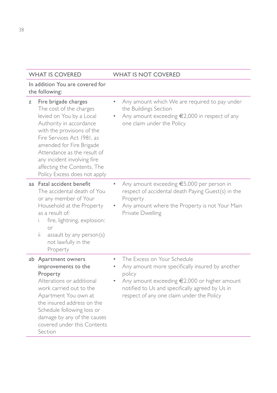| Z | Fire brigade charges<br>The cost of the charges<br>levied on You by a Local<br>Authority in accordance<br>with the provisions of the<br>Fire Services Act 1981, as<br>amended for Fire Brigade<br>Attendance as the result of<br>any incident involving fire<br>affecting the Contents. The<br>Policy Excess does not apply | Any amount which We are required to pay under<br>the Buildings Section<br>Any amount exceeding $\epsilon$ 2,000 in respect of any<br>one claim under the Policy                                                                                    |
|---|-----------------------------------------------------------------------------------------------------------------------------------------------------------------------------------------------------------------------------------------------------------------------------------------------------------------------------|----------------------------------------------------------------------------------------------------------------------------------------------------------------------------------------------------------------------------------------------------|
|   | aa Fatal accident benefit<br>The accidental death of You<br>or any member of Your<br>Household at the Property<br>as a result of:<br>fire, lightning, explosion:<br>or<br>ii.<br>assault by any person(s)<br>not lawfully in the<br>Property                                                                                | Any amount exceeding €5,000 per person in<br>respect of accidental death Paying Guest(s) in the<br>Property<br>Any amount where the Property is not Your Main<br>Private Dwelling                                                                  |
|   | ab Apartment owners<br>۰<br>improvements to the<br>Property<br>Alterations or additional<br>work carried out to the<br>Apartment You own at<br>the insured address on the<br>Schedule following loss or<br>damage by any of the causes<br>covered under this Contents<br>Section                                            | The Excess on Your Schedule<br>Any amount more specifically insured by another<br>policy<br>Any amount exceeding $\epsilon$ 2,000 or higher amount<br>notified to Us and specifically agreed by Us in<br>respect of any one claim under the Policy |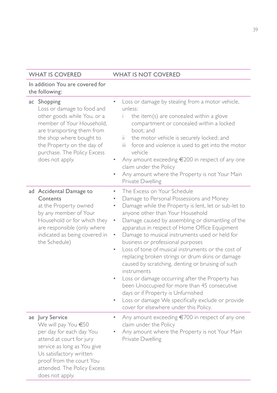#### In addition You are covered for the following:

| аc | Shopping<br>Loss or damage to food and<br>other goods while You, or a<br>member of Your Household,<br>are transporting them from<br>the shop where bought to<br>the Property on the day of<br>purchase. The Policy Excess<br>does not apply. | $\bullet$                                                                            | Loss or damage by stealing from a motor vehicle,<br>unless:<br>the item(s) are concealed within a glove<br>compartment or concealed within a locked<br>boot: and<br>the motor vehicle is securely locked; and<br>ii.<br>force and violence is used to get into the motor<br>iii.<br>vehicle<br>Any amount exceeding €200 in respect of any one<br>claim under the Policy<br>Any amount where the Property is not Your Main<br>Private Dwelling                                                                                                                                                                                                                                                                                                                                         |
|----|----------------------------------------------------------------------------------------------------------------------------------------------------------------------------------------------------------------------------------------------|--------------------------------------------------------------------------------------|----------------------------------------------------------------------------------------------------------------------------------------------------------------------------------------------------------------------------------------------------------------------------------------------------------------------------------------------------------------------------------------------------------------------------------------------------------------------------------------------------------------------------------------------------------------------------------------------------------------------------------------------------------------------------------------------------------------------------------------------------------------------------------------|
|    | ad Accidental Damage to<br>Contents<br>at the Property owned<br>by any member of Your<br>Household or for which they<br>are responsible (only where<br>indicated as being covered in<br>the Schedule)                                        | $\bullet$<br>$\bullet$<br>۰<br>$\bullet$<br>$\bullet$<br>$\bullet$<br>$\bullet$<br>۰ | The Excess on Your Schedule<br>Damage to Personal Possessions and Money<br>Damage while the Property is lent, let or sub-let to<br>anyone other than Your Household<br>Damage caused by assembling or dismantling of the<br>apparatus in respect of Home Office Equipment<br>Damage to musical instruments used or held for<br>business or professional purposes<br>Loss of tone of musical instruments or the cost of<br>replacing broken strings or drum skins or damage<br>caused by scratching, denting or bruising of such<br>instruments<br>Loss or damage occurring after the Property has<br>been Unoccupied for more than 45 consecutive<br>days or if Property is Unfurnished<br>Loss or damage We specifically exclude or provide<br>cover for elsewhere under this Policy. |
|    | ae Jury Service<br>We will pay You €50<br>per day for each day You<br>attend at court for jury<br>service as long as You give<br>Us satisfactory written<br>proof from the court You<br>attended. The Policy Excess<br>does not apply.       | $\bullet$                                                                            | Any amount exceeding $\epsilon$ 700 in respect of any one<br>claim under the Policy<br>Any amount where the Property is not Your Main<br>Private Dwelling                                                                                                                                                                                                                                                                                                                                                                                                                                                                                                                                                                                                                              |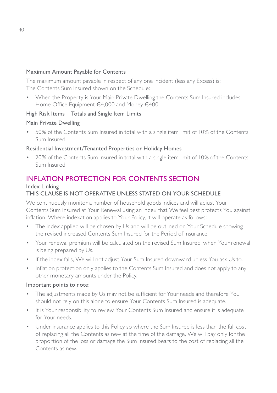#### Maximum Amount Payable for Contents

The maximum amount payable in respect of any one incident (less any Excess) is: The Contents Sum Insured shown on the Schedule:

• When the Property is Your Main Private Dwelling the Contents Sum Insured includes Home Office Equipment €4,000 and Money €400.

#### High Risk Items – Totals and Single Item Limits

#### Main Private Dwelling

• 50% of the Contents Sum Insured in total with a single item limit of 10% of the Contents Sum Insured.

#### Residential Investment/Tenanted Properties or Holiday Homes

• 20% of the Contents Sum Insured in total with a single item limit of 10% of the Contents Sum Insured.

### INFLATION PROTECTION FOR CONTENTS SECTION

#### Index Linking

#### THIS CLAUSE IS NOT OPERATIVE UNLESS STATED ON YOUR SCHEDULE

We continuously monitor a number of household goods indices and will adjust Your Contents Sum Insured at Your Renewal using an index that We feel best protects You against inflation. Where indexation applies to Your Policy, it will operate as follows:

- The index applied will be chosen by Us and will be outlined on Your Schedule showing the revised increased Contents Sum Insured for the Period of Insurance.
- Your renewal premium will be calculated on the revised Sum Insured, when Your renewal is being prepared by Us.
- If the index falls, We will not adjust Your Sum Insured downward unless You ask Us to.
- Inflation protection only applies to the Contents Sum Insured and does not apply to any other monetary amounts under the Policy.

#### Important points to note:

- The adjustments made by Us may not be sufficient for Your needs and therefore You should not rely on this alone to ensure Your Contents Sum Insured is adequate.
- It is Your responsibility to review Your Contents Sum Insured and ensure it is adequate for Your needs.
- Under insurance applies to this Policy so where the Sum Insured is less than the full cost of replacing all the Contents as new at the time of the damage, We will pay only for the proportion of the loss or damage the Sum Insured bears to the cost of replacing all the Contents as new.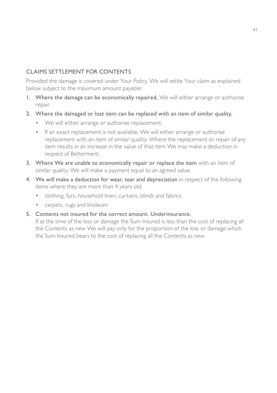#### CLAIMS SETTLEMENT FOR CONTENTS

Provided the damage is covered under Your Policy, We will settle Your claim as explained below subject to the maximum amount payable:

- 1. Where the damage can be economically repaired, We will either arrange or authorise repair.
- 2. Where the damaged or lost item can be replaced with an item of similar quality,
	- We will either arrange or authorise replacement.
	- If an exact replacement is not available, We will either arrange or authorise replacement with an item of similar quality. Where the replacement or repair of any item results in an increase in the value of that item We may make a deduction in respect of Betterment.
- 3. Where We are unable to economically repair or replace the item with an item of similar quality, We will make a payment equal to an agreed value.
- 4. We will make a deduction for wear, tear and depreciation in respect of the following items where they are more than 4 years old:
	- clothing, furs, household linen, curtains, blinds and fabrics
	- carpets, rugs and linoleum
- 5. Contents not insured for the correct amount. Underinsurance.

If at the time of the loss or damage the Sum Insured is less than the cost of replacing all the Contents as new We will pay only for the proportion of the loss or damage which the Sum Insured bears to the cost of replacing all the Contents as new.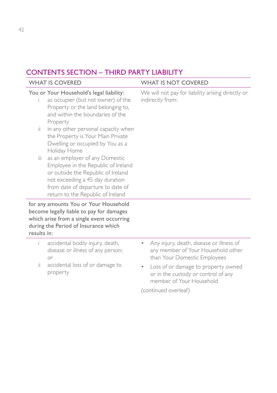## CONTENTS SECTION – THIRD PARTY LIABILITY

|             | <b>WHAT IS COVERED</b>                                                                                                                                                                                                   | <b>WHAT IS NOT COVERED</b>                                                                                          |
|-------------|--------------------------------------------------------------------------------------------------------------------------------------------------------------------------------------------------------------------------|---------------------------------------------------------------------------------------------------------------------|
|             | You or Your Household's legal liability:<br>as occupier (but not owner) of the<br>Property or the land belonging to,<br>and within the boundaries of the<br>Property                                                     | We will not pay for liability arising directly or<br>indirectly from:                                               |
| ii.         | in any other personal capacity when<br>the Property is Your Main Private<br>Dwelling or occupied by You as a<br>Holiday Home                                                                                             |                                                                                                                     |
| Ш           | as an employer of any Domestic<br>Employee in the Republic of Ireland<br>or outside the Republic of Ireland<br>not exceeding a 45 day duration<br>from date of departure to date of<br>return to the Republic of Ireland |                                                                                                                     |
| results in: | for any amounts You or Your Household<br>become legally liable to pay for damages<br>which arise from a single event occurring<br>during the Period of Insurance which                                                   |                                                                                                                     |
| i.          | accidental bodily injury, death,<br>disease or illness of any person;<br>or                                                                                                                                              | Any injury, death, disease or illness of<br>۰<br>any member of Your Household other<br>than Your Domestic Employees |
| ii.         | accidental loss of or damage to<br>property                                                                                                                                                                              | Loss of or damage to property owned<br>۰<br>or in the custody or control of any<br>member of Your Household         |
|             |                                                                                                                                                                                                                          | (continued overleaf)                                                                                                |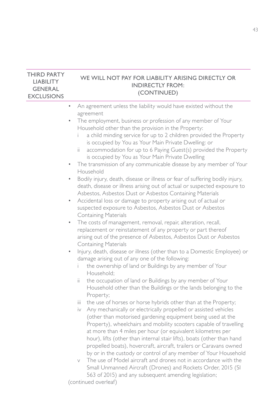#### THIRD PARTY LIABILITY GENERAL EXCLUSIONS WE WILL NOT PAY FOR LIABILITY ARISING DIRECTLY OR INDIRECTLY FROM: (CONTINUED)

- An agreement unless the liability would have existed without the agreement
- The employment, business or profession of any member of Your Household other than the provision in the Property:
	- a child minding service for up to 2 children provided the Property is occupied by You as Your Main Private Dwelling: or
	- accommodation for up to 6 Paying Guest(s) provided the Property is occupied by You as Your Main Private Dwelling
- The transmission of any communicable disease by any member of Your Household
- Bodily injury, death, disease or illness or fear of suffering bodily injury, death, disease or illness arising out of actual or suspected exposure to Asbestos, Asbestos Dust or Asbestos Containing Materials
- Accidental loss or damage to property arising out of actual or suspected exposure to Asbestos, Asbestos Dust or Asbestos Containing Materials
- The costs of management, removal, repair, alteration, recall, replacement or reinstatement of any property or part thereof arising out of the presence of Asbestos, Asbestos Dust or Asbestos Containing Materials
- Injury, death, disease or illness (other than to a Domestic Employee) or damage arising out of any one of the following:
	- i the ownership of land or Buildings by any member of Your Household;
	- ii the occupation of land or Buildings by any member of Your Household other than the Buildings or the lands belonging to the Property;
	- iii the use of horses or horse hybrids other than at the Property;
	- iv Any mechanically or electrically propelled or assisted vehicles (other than motorised gardening equipment being used at the Property), wheelchairs and mobility scooters capable of travelling at more than 4 miles per hour (or equivalent kilometres per hour), lifts (other than internal stair lifts), boats (other than hand propelled boats), hovercraft, aircraft, trailers or Caravans owned by or in the custody or control of any member of Your Household
	- v The use of Model aircraft and drones not in accordance with the Small Unmanned Aircraft (Drones) and Rockets Order, 2015 (SI 563 of 2015) and any subsequent amending legislation;

(continued overleaf)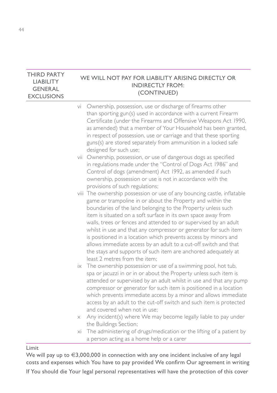#### THIRD PARTY LIABILITY GENERAL EXCLUSIONS WE WILL NOT PAY FOR LIABILITY ARISING DIRECTLY OR INDIRECTLY FROM: (CONTINUED)

- vi Ownership, possession, use or discharge of firearms other than sporting gun(s) used in accordance with a current Firearm Certificate (under the Firearms and Offensive Weapons Act 1990, as amended) that a member of Your Household has been granted, in respect of possession, use or carriage and that these sporting guns(s) are stored separately from ammunition in a locked safe designed for such use;
- vii Ownership, possession, or use of dangerous dogs as specified in regulations made under the "Control of Dogs Act 1986" and Control of dogs (amendment) Act 1992, as amended if such ownership, possession or use is not in accordance with the provisions of such regulations;
- viii The ownership possession or use of any bouncing castle, inflatable game or trampoline in or about the Property and within the boundaries of the land belonging to the Property unless such item is situated on a soft surface in its own space away from walls, trees or fences and attended to or supervised by an adult whilst in use and that any compressor or generator for such item is positioned in a location which prevents access by minors and allows immediate access by an adult to a cut-off switch and that the stays and supports of such item are anchored adequately at least 2 metres from the item;
- ix The ownership possession or use of a swimming pool, hot tub, spa or jacuzzi in or in or about the Property unless such item is attended or supervised by an adult whilst in use and that any pump compressor or generator for such item is positioned in a location which prevents immediate access by a minor and allows immediate access by an adult to the cut-off switch and such item is protected and covered when not in use;
- x Any incident(s) where We may become legally liable to pay under the Buildings Section;
- xi The administering of drugs/medication or the lifting of a patient by a person acting as a home help or a carer

#### Limit

We will pay up to  $\in 3,000,000$  in connection with any one incident inclusive of any legal costs and expenses which You have to pay provided We confirm Our agreement in writing

If You should die Your legal personal representatives will have the protection of this cover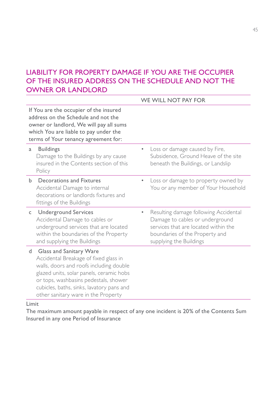## LIABILITY FOR PROPERTY DAMAGE IF YOU ARE THE OCCUPIER OF THE INSURED ADDRESS ON THE SCHEDULE AND NOT THE OWNER OR LANDLORD

|    |                                                                                                                                                                                                                                                                                      | WE WILL NOT PAY FOR                                                                                                                                                           |
|----|--------------------------------------------------------------------------------------------------------------------------------------------------------------------------------------------------------------------------------------------------------------------------------------|-------------------------------------------------------------------------------------------------------------------------------------------------------------------------------|
|    | If You are the occupier of the insured<br>address on the Schedule and not the<br>owner or landlord, We will pay all sums<br>which You are liable to pay under the<br>terms of Your tenancy agreement for:                                                                            |                                                                                                                                                                               |
| a  | <b>Buildings</b><br>Damage to the Buildings by any cause<br>insured in the Contents section of this<br>Policy                                                                                                                                                                        | Loss or damage caused by Fire,<br>Subsidence, Ground Heave of the site<br>beneath the Buildings, or Landslip                                                                  |
| b. | Decorations and Fixtures<br>Accidental Damage to internal<br>decorations or landlords fixtures and<br>fittings of the Buildings                                                                                                                                                      | Loss or damage to property owned by<br>You or any member of Your Household                                                                                                    |
| C  | <b>Underground Services</b><br>Accidental Damage to cables or<br>underground services that are located<br>within the boundaries of the Property<br>and supplying the Buildings                                                                                                       | Resulting damage following Accidental<br>Damage to cables or underground<br>services that are located within the<br>boundaries of the Property and<br>supplying the Buildings |
| d  | Glass and Sanitary Ware<br>Accidental Breakage of fixed glass in<br>walls, doors and roofs including double<br>glazed units, solar panels, ceramic hobs<br>or tops, washbasins pedestals, shower<br>cubicles, baths, sinks, lavatory pans and<br>other sanitary ware in the Property |                                                                                                                                                                               |

#### Limit

The maximum amount payable in respect of any one incident is 20% of the Contents Sum Insured in any one Period of Insurance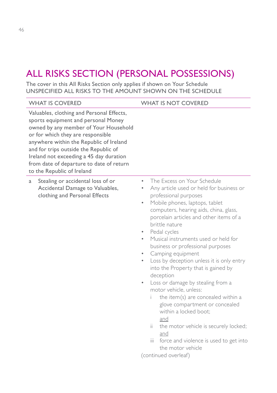# ALL RISKS SECTION (PERSONAL POSSESSIONS)

The cover in this All Risks Section only applies if shown on Your Schedule UNSPECIFIED ALL RISKS TO THE AMOUNT SHOWN ON THE SCHEDULE

| <b>WHAT IS COVERED</b>                                                                                                                                                                                                                                                                                                                                                  | <b>WHAT IS NOT COVERED</b>                                                                                                                                                                                                                                                                                                                                                                                                                                                                                                                                                                                                                                                                                                                                                                                                                                                 |
|-------------------------------------------------------------------------------------------------------------------------------------------------------------------------------------------------------------------------------------------------------------------------------------------------------------------------------------------------------------------------|----------------------------------------------------------------------------------------------------------------------------------------------------------------------------------------------------------------------------------------------------------------------------------------------------------------------------------------------------------------------------------------------------------------------------------------------------------------------------------------------------------------------------------------------------------------------------------------------------------------------------------------------------------------------------------------------------------------------------------------------------------------------------------------------------------------------------------------------------------------------------|
| Valuables, clothing and Personal Effects,<br>sports equipment and personal Money<br>owned by any member of Your Household<br>or for which they are responsible<br>anywhere within the Republic of Ireland<br>and for trips outside the Republic of<br>Ireland not exceeding a 45 day duration<br>from date of departure to date of return<br>to the Republic of Ireland |                                                                                                                                                                                                                                                                                                                                                                                                                                                                                                                                                                                                                                                                                                                                                                                                                                                                            |
| Stealing or accidental loss of or<br>a<br>Accidental Damage to Valuables,<br>clothing and Personal Effects                                                                                                                                                                                                                                                              | The Excess on Your Schedule<br>$\bullet$<br>Any article used or held for business or<br>۰<br>professional purposes<br>Mobile phones, laptops, tablet<br>$\bullet$<br>computers, hearing aids, china, glass,<br>porcelain articles and other items of a<br>brittle nature<br>Pedal cycles<br>$\bullet$<br>Musical instruments used or held for<br>business or professional purposes<br>Camping equipment<br>۰<br>Loss by deception unless it is only entry<br>$\bullet$<br>into the Property that is gained by<br>deception<br>Loss or damage by stealing from a<br>$\bullet$<br>motor vehicle, unless:<br>the item(s) are concealed within a<br>i.<br>glove compartment or concealed<br>within a locked boot;<br>and<br>ii.<br>the motor vehicle is securely locked;<br>and<br>iii.<br>force and violence is used to get into<br>the motor vehicle<br>(continued overleaf) |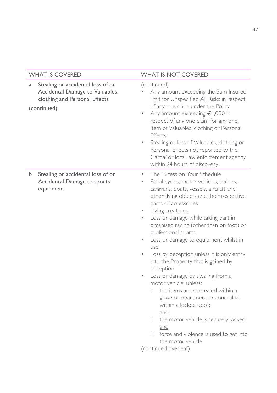| <b>WHAT IS COVERED</b>                                                                                                    | <b>WHAT IS NOT COVERED</b>                                                                                                                                                                                                                                                                                                                                                                                                                                                                                                                                                                                                                                                                                                                                                                                        |
|---------------------------------------------------------------------------------------------------------------------------|-------------------------------------------------------------------------------------------------------------------------------------------------------------------------------------------------------------------------------------------------------------------------------------------------------------------------------------------------------------------------------------------------------------------------------------------------------------------------------------------------------------------------------------------------------------------------------------------------------------------------------------------------------------------------------------------------------------------------------------------------------------------------------------------------------------------|
| Stealing or accidental loss of or<br>a<br>Accidental Damage to Valuables,<br>clothing and Personal Effects<br>(continued) | (continued)<br>Any amount exceeding the Sum Insured<br>limit for Unspecified All Risks in respect<br>of any one claim under the Policy<br>Any amount exceeding €1,000 in<br>respect of any one claim for any one<br>item of Valuables, clothing or Personal<br>Effects<br>Stealing or loss of Valuables, clothing or<br>$\bullet$<br>Personal Effects not reported to the<br>Gardaí or local law enforcement agency<br>within 24 hours of discovery                                                                                                                                                                                                                                                                                                                                                               |
| Stealing or accidental loss of or<br>b.<br>Accidental Damage to sports<br>equipment                                       | The Excess on Your Schedule<br>$\bullet$<br>Pedal cycles, motor vehicles, trailers,<br>۰<br>caravans, boats, vessels, aircraft and<br>other flying objects and their respective<br>parts or accessories<br>Living creatures<br>Loss or damage while taking part in<br>organised racing (other than on foot) or<br>professional sports<br>Loss or damage to equipment whilst in<br>use<br>Loss by deception unless it is only entry<br>into the Property that is gained by<br>deception<br>Loss or damage by stealing from a<br>motor vehicle, unless:<br>the items are concealed within a<br>glove compartment or concealed<br>within a locked boot:<br>and<br>ii.<br>the motor vehicle is securely locked;<br>and<br>force and violence is used to get into<br>iii.<br>the motor vehicle<br>(continued overleaf) |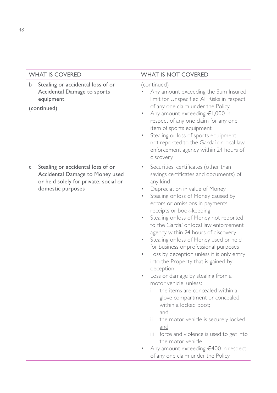|   | <b>WHAT IS COVERED</b>                                                                                                             | <b>WHAT IS NOT COVERED</b>                                                                                                                                                                                                                                                                                                                                                                                                                                                                                                                                                                                                                                                                                                                                                                                                                                                                                                                                   |
|---|------------------------------------------------------------------------------------------------------------------------------------|--------------------------------------------------------------------------------------------------------------------------------------------------------------------------------------------------------------------------------------------------------------------------------------------------------------------------------------------------------------------------------------------------------------------------------------------------------------------------------------------------------------------------------------------------------------------------------------------------------------------------------------------------------------------------------------------------------------------------------------------------------------------------------------------------------------------------------------------------------------------------------------------------------------------------------------------------------------|
| b | Stealing or accidental loss of or<br>Accidental Damage to sports<br>equipment<br>(continued)                                       | (continued)<br>Any amount exceeding the Sum Insured<br>limit for Unspecified All Risks in respect<br>of any one claim under the Policy<br>Any amount exceeding €1,000 in<br>respect of any one claim for any one<br>item of sports equipment<br>Stealing or loss of sports equipment<br>۰<br>not reported to the Gardaí or local law<br>enforcement agency within 24 hours of<br>discovery                                                                                                                                                                                                                                                                                                                                                                                                                                                                                                                                                                   |
| C | Stealing or accidental loss of or<br>Accidental Damage to Money used<br>or held solely for private, social or<br>domestic purposes | Securities, certificates (other than<br>۰<br>savings certificates and documents) of<br>any kind<br>Depreciation in value of Money<br>Stealing or loss of Money caused by<br>errors or omissions in payments,<br>receipts or book-keeping<br>Stealing or loss of Money not reported<br>to the Gardaí or local law enforcement<br>agency within 24 hours of discovery<br>Stealing or loss of Money used or held<br>۰<br>for business or professional purposes<br>Loss by deception unless it is only entry<br>۰<br>into the Property that is gained by<br>deception<br>Loss or damage by stealing from a<br>۰<br>motor vehicle, unless:<br>the items are concealed within a<br>î.<br>glove compartment or concealed<br>within a locked boot;<br>and<br>ii.<br>the motor vehicle is securely locked;<br>and<br>iii.<br>force and violence is used to get into<br>the motor vehicle<br>Any amount exceeding €400 in respect<br>of any one claim under the Policy |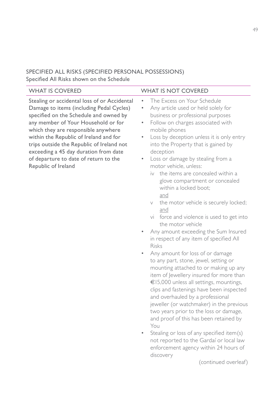## SPECIFIED ALL RISKS (SPECIFIED PERSONAL POSSESSIONS)

Specified All Risks shown on the Schedule

(continued overleaf)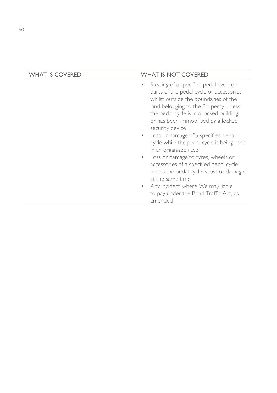- Stealing of a specified pedal cycle or parts of the pedal cycle or accessories whilst outside the boundaries of the land belonging to the Property unless the pedal cycle is in a locked building or has been immobilised by a locked security device
- Loss or damage of a specified pedal cycle while the pedal cycle is being used in an organised race
- Loss or damage to tyres, wheels or accessories of a specified pedal cycle unless the pedal cycle is lost or damaged at the same time
- Any incident where We may liable to pay under the Road Traffic Act, as amended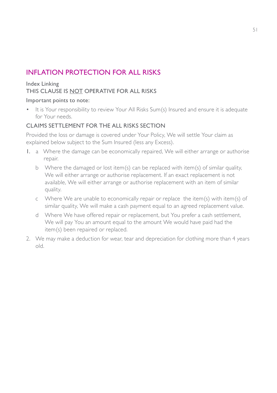## INFLATION PROTECTION FOR ALL RISKS

#### Index Linking THIS CLAUSE IS NOT OPERATIVE FOR ALL RISKS

#### Important points to note:

• It is Your responsibility to review Your All Risks Sum(s) Insured and ensure it is adequate for Your needs.

#### CLAIMS SETTLEMENT FOR THE ALL RISKS SECTION

Provided the loss or damage is covered under Your Policy, We will settle Your claim as explained below subject to the Sum Insured (less any Excess).

- 1. a Where the damage can be economically repaired, We will either arrange or authorise repair.
	- b Where the damaged or lost item(s) can be replaced with item(s) of similar quality, We will either arrange or authorise replacement. If an exact replacement is not available, We will either arrange or authorise replacement with an item of similar quality.
	- c Where We are unable to economically repair or replace the item(s) with item(s) of similar quality, We will make a cash payment equal to an agreed replacement value.
	- d Where We have offered repair or replacement, but You prefer a cash settlement, We will pay You an amount equal to the amount We would have paid had the item(s) been repaired or replaced.
- 2. We may make a deduction for wear, tear and depreciation for clothing more than 4 years old.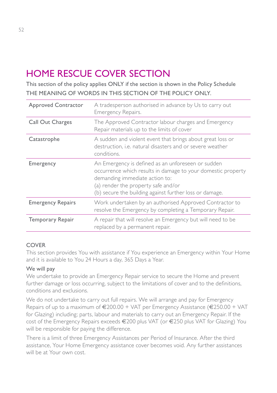# HOME RESCUE COVER SECTION

This section of the policy applies ONLY if the section is shown in the Policy Schedule THE MEANING OF WORDS IN THIS SECTION OF THE POLICY ONLY.

| <b>Approved Contractor</b> | A tradesperson authorised in advance by Us to carry out<br>Emergency Repairs.                                                                                                                                                                          |
|----------------------------|--------------------------------------------------------------------------------------------------------------------------------------------------------------------------------------------------------------------------------------------------------|
| Call Out Charges           | The Approved Contractor labour charges and Emergency<br>Repair materials up to the limits of cover                                                                                                                                                     |
| Catastrophe                | A sudden and violent event that brings about great loss or<br>destruction, i.e. natural disasters and or severe weather<br>conditions.                                                                                                                 |
| Emergency                  | An Emergency is defined as an unforeseen or sudden<br>occurrence which results in damage to your domestic property<br>demanding immediate action to:<br>(a) render the property safe and/or<br>(b) secure the building against further loss or damage. |
| <b>Emergency Repairs</b>   | Work undertaken by an authorised Approved Contractor to<br>resolve the Emergency by completing a Temporary Repair.                                                                                                                                     |
| Temporary Repair           | A repair that will resolve an Emergency but will need to be<br>replaced by a permanent repair.                                                                                                                                                         |

#### COVER

This section provides You with assistance if You experience an Emergency within Your Home and it is available to You 24 Hours a day, 365 Days a Year.

#### We will pay

We undertake to provide an Emergency Repair service to secure the Home and prevent further damage or loss occurring, subject to the limitations of cover and to the definitions, conditions and exclusions.

We do not undertake to carry out full repairs. We will arrange and pay for Emergency Repairs of up to a maximum of  $\epsilon$ 200.00 + VAT per Emergency Assistance ( $\epsilon$ 250.00 + VAT for Glazing) including; parts, labour and materials to carry out an Emergency Repair. If the cost of the Emergency Repairs exceeds €200 plus VAT (or €250 plus VAT for Glazing) You will be responsible for paying the difference.

There is a limit of three Emergency Assistances per Period of Insurance. After the third assistance, Your Home Emergency assistance cover becomes void. Any further assistances will be at Your own cost.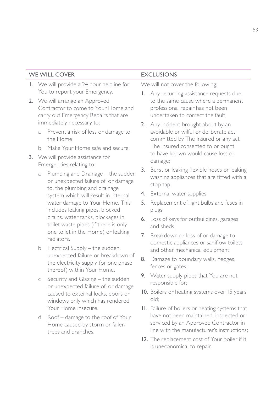| WE WILL COVER |                                                                                                                                                |                                                                                                                                                                                                                                                                                                                                                                                                                                                                                                          | <b>EXCLUSIONS</b>                |                                                                                                                                                      |
|---------------|------------------------------------------------------------------------------------------------------------------------------------------------|----------------------------------------------------------------------------------------------------------------------------------------------------------------------------------------------------------------------------------------------------------------------------------------------------------------------------------------------------------------------------------------------------------------------------------------------------------------------------------------------------------|----------------------------------|------------------------------------------------------------------------------------------------------------------------------------------------------|
| L.            | We will provide a 24 hour helpline for                                                                                                         |                                                                                                                                                                                                                                                                                                                                                                                                                                                                                                          | We will not cover the following; |                                                                                                                                                      |
|               | You to report your Emergency.<br>2. We will arrange an Approved<br>Contractor to come to Your Home and<br>carry out Emergency Repairs that are |                                                                                                                                                                                                                                                                                                                                                                                                                                                                                                          | Ι.                               | Any recurring assistance requests due<br>to the same cause where a permanent<br>professional repair has not been<br>undertaken to correct the fault: |
|               | a                                                                                                                                              | immediately necessary to:<br>Prevent a risk of loss or damage to<br>the Home:                                                                                                                                                                                                                                                                                                                                                                                                                            |                                  | 2. Any incident brought about by an<br>avoidable or wilful or deliberate act<br>committed by The Insured or any act                                  |
|               | Make Your Home safe and secure.<br>b<br>3. We will provide assistance for                                                                      |                                                                                                                                                                                                                                                                                                                                                                                                                                                                                                          |                                  | The Insured consented to or ought<br>to have known would cause loss or<br>damage;                                                                    |
|               | Emergencies relating to:                                                                                                                       |                                                                                                                                                                                                                                                                                                                                                                                                                                                                                                          |                                  |                                                                                                                                                      |
|               | a                                                                                                                                              | Plumbing and Drainage – the sudden<br>or unexpected failure of, or damage<br>to, the plumbing and drainage<br>system which will result in internal<br>water damage to Your Home. This<br>includes leaking pipes, blocked<br>drains. water tanks, blockages in<br>toilet waste pipes (if there is only<br>one toilet in the Home) or leaking<br>radiators.<br>Electrical Supply - the sudden,<br>unexpected failure or breakdown of<br>the electricity supply (or one phase<br>thereof) within Your Home. | 3.                               | Burst or leaking flexible hoses or leaking<br>washing appliances that are fitted with a<br>stop tap;                                                 |
|               |                                                                                                                                                |                                                                                                                                                                                                                                                                                                                                                                                                                                                                                                          |                                  | 4. External water supplies;                                                                                                                          |
|               |                                                                                                                                                |                                                                                                                                                                                                                                                                                                                                                                                                                                                                                                          | 5.                               | Replacement of light bulbs and fuses in<br>plugs;                                                                                                    |
|               |                                                                                                                                                |                                                                                                                                                                                                                                                                                                                                                                                                                                                                                                          |                                  | 6. Loss of keys for outbuildings, garages<br>and sheds:                                                                                              |
|               |                                                                                                                                                |                                                                                                                                                                                                                                                                                                                                                                                                                                                                                                          | 7.                               | Breakdown or loss of or damage to<br>domestic appliances or saniflow toilets                                                                         |
|               | b                                                                                                                                              |                                                                                                                                                                                                                                                                                                                                                                                                                                                                                                          |                                  | and other mechanical equipment;                                                                                                                      |
|               |                                                                                                                                                |                                                                                                                                                                                                                                                                                                                                                                                                                                                                                                          |                                  | 8. Damage to boundary walls, hedges,<br>fences or gates;                                                                                             |
|               | C<br>d                                                                                                                                         | Security and Glazing - the sudden<br>or unexpected failure of, or damage<br>caused to external locks, doors or<br>windows only which has rendered                                                                                                                                                                                                                                                                                                                                                        |                                  | 9. Water supply pipes that You are not<br>responsible for;<br>10. Boilers or heating systems over 15 years<br>old:                                   |
|               |                                                                                                                                                |                                                                                                                                                                                                                                                                                                                                                                                                                                                                                                          |                                  |                                                                                                                                                      |
|               |                                                                                                                                                | Your Home insecure.                                                                                                                                                                                                                                                                                                                                                                                                                                                                                      |                                  | II. Failure of boilers or heating systems that                                                                                                       |
|               |                                                                                                                                                | Roof - damage to the roof of Your<br>Home caused by storm or fallen<br>trees and branches.                                                                                                                                                                                                                                                                                                                                                                                                               |                                  | have not been maintained, inspected or<br>serviced by an Approved Contractor in<br>line with the manufacturer's instructions:                        |
|               |                                                                                                                                                |                                                                                                                                                                                                                                                                                                                                                                                                                                                                                                          |                                  | 12. The replacement cost of Your boiler if it                                                                                                        |

is uneconomical to repair.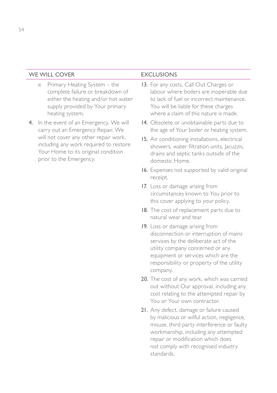#### WE WILL COVER EXCLUSIONS

- e Primary Heating System the complete failure or breakdown of either the heating and/or hot water supply provided by Your primary heating system.
- 4. In the event of an Emergency, We will carry out an Emergency Repair. We will not cover any other repair work, including any work required to restore Your Home to its original condition prior to the Emergency.

- 13. For any costs, Call Out Charges or labour where boilers are inoperable due to lack of fuel or incorrect maintenance. You will be liable for these charges where a claim of this nature is made.
- 14. Obsolete or unobtainable parts due to the age of Your boiler or heating system.
- 15. Air conditioning installations, electrical showers, water filtration units, Jacuzzis, drains and septic tanks outside of the domestic Home.
- 16. Expenses not supported by valid original receipt.
- 17. Loss or damage arising from circumstances known to You prior to this cover applying to your policy.
- 18. The cost of replacement parts due to natural wear and tear.
- 19. Loss or damage arising from disconnection or interruption of mains services by the deliberate act of the utility company concerned or any equipment or services which are the responsibility or property of the utility company.
- 20. The cost of any work, which was carried out without Our approval, including any cost relating to the attempted repair by You or Your own contractor.
- 21. Any defect, damage or failure caused by malicious or wilful action, negligence, misuse, third party interference or faulty workmanship, including any attempted repair or modification which does not comply with recognised industry standards.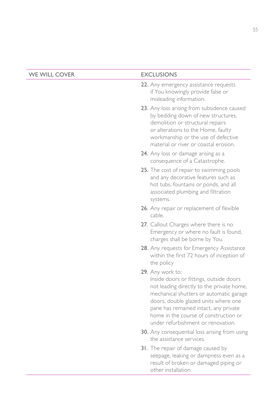| <b>WE WILL COVER</b> | <b>EXCLUSIONS</b>                                                                                                                                                                                                                                                                                                   |
|----------------------|---------------------------------------------------------------------------------------------------------------------------------------------------------------------------------------------------------------------------------------------------------------------------------------------------------------------|
|                      | 22. Any emergency assistance requests<br>if You knowingly provide false or<br>misleading information.                                                                                                                                                                                                               |
|                      | 23. Any loss arising from subsidence caused<br>by bedding down of new structures,<br>demolition or structural repairs<br>or alterations to the Home, faulty<br>workmanship or the use of defective<br>material or river or coastal erosion.                                                                         |
|                      | 24. Any loss or damage arising as a<br>consequence of a Catastrophe.                                                                                                                                                                                                                                                |
|                      | 25. The cost of repair to swimming pools<br>and any decorative features such as<br>hot tubs, fountains or ponds, and all<br>associated plumbing and filtration<br>systems.                                                                                                                                          |
|                      | <b>26.</b> Any repair or replacement of flexible<br>cable.                                                                                                                                                                                                                                                          |
|                      | 27. Callout Charges where there is no<br>Emergency or where no fault is found,<br>charges shall be borne by You.                                                                                                                                                                                                    |
|                      | 28. Any requests for Emergency Assistance<br>within the first 72 hours of inception of<br>the policy                                                                                                                                                                                                                |
|                      | 29. Any work to:<br>Inside doors or fittings, outside doors<br>not leading directly to the private home,<br>mechanical shutters or automatic garage<br>doors, double glazed units where one<br>pane has remained intact, any private<br>home in the course of construction or<br>under refurbishment or renovation. |
|                      | <b>30.</b> Any consequential loss arising from using<br>the assistance services.                                                                                                                                                                                                                                    |
|                      | 31. The repair of damage caused by<br>seepage, leaking or dampness even as a<br>result of broken or damaged piping or                                                                                                                                                                                               |

other installation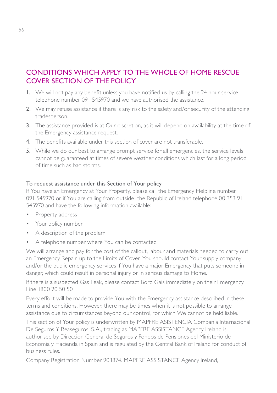### CONDITIONS WHICH APPLY TO THE WHOLE OF HOME RESCUE COVER SECTION OF THE POLICY

- 1. We will not pay any benefit unless you have notified us by calling the 24 hour service telephone number 091 545970 and we have authorised the assistance.
- 2. We may refuse assistance if there is any risk to the safety and/or security of the attending tradesperson.
- 3. The assistance provided is at Our discretion, as it will depend on availability at the time of the Emergency assistance request.
- 4. The benefits available under this section of cover are not transferable.
- 5. While we do our best to arrange prompt service for all emergencies, the service levels cannot be guaranteed at times of severe weather conditions which last for a long period of time such as bad storms.

#### To request assistance under this Section of Your policy

If You have an Emergency at Your Property, please call the Emergency Helpline number 091 545970 or if You are calling from outside the Republic of Ireland telephone 00 353 91 545970 and have the following information available:

- Property address
- Your policy number
- A description of the problem
- A telephone number where You can be contacted

We will arrange and pay for the cost of the callout, labour and materials needed to carry out an Emergency Repair, up to the Limits of Cover. You should contact Your supply company and/or the public emergency services if You have a major Emergency that puts someone in danger, which could result in personal injury or in serious damage to Home.

If there is a suspected Gas Leak, please contact Bord Gais immediately on their Emergency Line 1800 20 50 50

Every effort will be made to provide You with the Emergency assistance described in these terms and conditions. However, there may be times when it is not possible to arrange assistance due to circumstances beyond our control, for which We cannot be held liable.

This section of Your policy is underwritten by MAPFRE ASISTENCIA Compania Internacional De Seguros Y Reaseguros, S.A., trading as MAPFRE ASSISTANCE Agency Ireland is authorised by Direccion General de Seguros y Fondos de Pensiones del Ministerio de Economia y Hacienda in Spain and is regulated by the Central Bank of Ireland for conduct of business rules.

Company Registration Number 903874. MAPFRE ASSISTANCE Agency Ireland,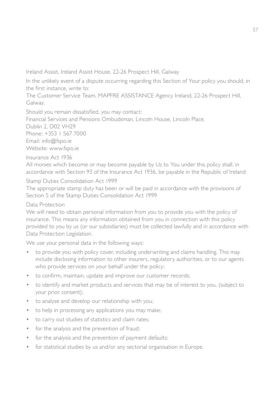Ireland Assist, Ireland Assist House, 22-26 Prospect Hill, Galway

In the unlikely event of a dispute occurring regarding this Section of Your policy you should, in the first instance, write to:

The Customer Service Team, MAPFRE ASSISTANCE Agency Ireland, 22-26 Prospect Hill, Galway.

Should you remain dissatisfied, you may contact:

Financial Services and Pensions Ombudsman, Lincoln House, Lincoln Place,

Dublin 2, D02 VH29

Phone: +353 1 567 7000 Email: info@fspo.ie

Website: www.fspo.ie

Insurance Act 1936

All monies which become or may become payable by Us to You under this policy shall, in accordance with Section 93 of the Insurance Act 1936, be payable in the Republic of Ireland

Stamp Duties Consolidation Act 1999

The appropriate stamp duty has been or will be paid in accordance with the provisions of Section 5 of the Stamp Duties Consolidation Act 1999

#### Data Protection

We will need to obtain personal information from you to provide you with the policy of insurance. This means any information obtained from you in connection with this policy provided to you by us (or our subsidiaries) must be collected lawfully and in accordance with Data Protection Legislation.

We use your personal data in the following ways:

- to provide you with policy cover, including underwriting and claims handling. This may include disclosing information to other insurers, regulatory authorities, or to our agents who provide services on your behalf under the policy;
- to confirm, maintain, update and improve our customer records;
- to identify and market products and services that may be of interest to you, (subject to your prior consent);
- to analyse and develop our relationship with you;
- to help in processing any applications you may make;
- to carry out studies of statistics and claim rates;
- for the analysis and the prevention of fraud;
- for the analysis and the prevention of payment defaults;
- for statistical studies by us and/or any sectorial organisation in Europe.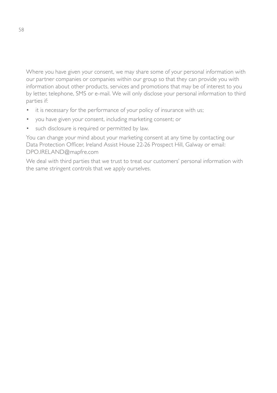Where you have given your consent, we may share some of your personal information with our partner companies or companies within our group so that they can provide you with information about other products, services and promotions that may be of interest to you by letter, telephone, SMS or e-mail. We will only disclose your personal information to third parties if:

- it is necessary for the performance of your policy of insurance with us;
- you have given your consent, including marketing consent; or
- such disclosure is required or permitted by law.

You can change your mind about your marketing consent at any time by contacting our Data Protection Officer, Ireland Assist House 22-26 Prospect Hill, Galway or email: DPO.IRELAND@mapfre.com

We deal with third parties that we trust to treat our customers' personal information with the same stringent controls that we apply ourselves.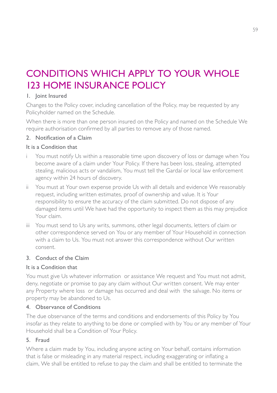# CONDITIONS WHICH APPLY TO YOUR WHOLE 123 HOME INSURANCE POLICY

#### 1. Joint Insured

Changes to the Policy cover, including cancellation of the Policy, may be requested by any Policyholder named on the Schedule.

When there is more than one person insured on the Policy and named on the Schedule We require authorisation confirmed by all parties to remove any of those named.

#### 2. Notification of a Claim

#### It is a Condition that

- You must notify Us within a reasonable time upon discovery of loss or damage when You become aware of a claim under Your Policy. If there has been loss, stealing, attempted stealing, malicious acts or vandalism, You must tell the Gardaí or local law enforcement agency within 24 hours of discovery.
- ii You must at Your own expense provide Us with all details and evidence We reasonably request, including written estimates, proof of ownership and value. It is Your responsibility to ensure the accuracy of the claim submitted. Do not dispose of any damaged items until We have had the opportunity to inspect them as this may prejudice Your claim.
- iii You must send to Us any writs, summons, other legal documents, letters of claim or other correspondence served on You or any member of Your Household in connection with a claim to Us. You must not answer this correspondence without Our written consent.

#### 3. Conduct of the Claim

#### It is a Condition that

You must give Us whatever information or assistance We request and You must not admit, deny, negotiate or promise to pay any claim without Our written consent. We may enter any Property where loss or damage has occurred and deal with the salvage. No items or property may be abandoned to Us.

#### 4. Observance of Conditions

The due observance of the terms and conditions and endorsements of this Policy by You insofar as they relate to anything to be done or complied with by You or any member of Your Household shall be a Condition of Your Policy.

#### 5. Fraud

Where a claim made by You, including anyone acting on Your behalf, contains information that is false or misleading in any material respect, including exaggerating or inflating a claim, We shall be entitled to refuse to pay the claim and shall be entitled to terminate the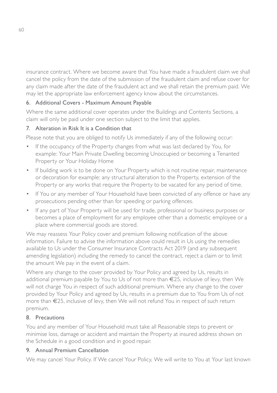insurance contract. Where we become aware that You have made a fraudulent claim we shall cancel the policy from the date of the submission of the fraudulent claim and refuse cover for any claim made after the date of the fraudulent act and we shall retain the premium paid. We may let the appropriate law enforcement agency know about the circumstances.

#### 6. Additional Covers - Maximum Amount Payable

Where the same additional cover operates under the Buildings and Contents Sections, a claim will only be paid under one section subject to the limit that applies.

#### 7. Alteration in Risk It is a Condition that

Please note that you are obliged to notify Us immediately if any of the following occur:

- If the occupancy of the Property changes from what was last declared by You, for example: Your Main Private Dwelling becoming Unoccupied or becoming a Tenanted Property or Your Holiday Home
- If building work is to be done on Your Property which is not routine repair, maintenance or decoration for example: any structural alteration to the Property, extension of the Property or any works that require the Property to be vacated for any period of time.
- If You or any member of Your Household have been convicted of any offence or have any prosecutions pending other than for speeding or parking offences.
- If any part of Your Property will be used for trade, professional or business purposes or becomes a place of employment for any employee other than a domestic employee or a place where commercial goods are stored.

We may reassess Your Policy cover and premium following notification of the above information. Failure to advise the information above could result in Us using the remedies available to Us under the Consumer Insurance Contracts Act 2019 (and any subsequent amending legislation) including the remedy to cancel the contract, reject a claim or to limit the amount We pay in the event of a claim.

Where any change to the cover provided by Your Policy and agreed by Us, results in additional premium payable by You to Us of not more than €25, inclusive of levy, then We will not charge You in respect of such additional premium. Where any change to the cover provided by Your Policy and agreed by Us, results in a premium due to You from Us of not more than €25, inclusive of levy, then We will not refund You in respect of such return premium.

#### 8. Precautions

You and any member of Your Household must take all Reasonable steps to prevent or minimise loss, damage or accident and maintain the Property at insured address shown on the Schedule in a good condition and in good repair.

#### 9. Annual Premium Cancellation

We may cancel Your Policy. If We cancel Your Policy, We will write to You at Your last known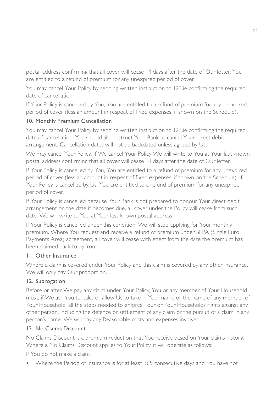postal address confirming that all cover will cease 14 days after the date of Our letter. You are entitled to a refund of premium for any unexpired period of cover.

You may cancel Your Policy by sending written instruction to 123.ie confirming the required date of cancellation.

If Your Policy is cancelled by You, You are entitled to a refund of premium for any unexpired period of cover (less an amount in respect of fixed expenses, if shown on the Schedule).

#### 10. Monthly Premium Cancellation

You may cancel Your Policy by sending written instruction to 123.ie confirming the required date of cancellation. You should also instruct Your Bank to cancel Your direct debit arrangement. Cancellation dates will not be backdated unless agreed by Us.

We may cancel Your Policy. If We cancel Your Policy We will write to You at Your last known postal address confirming that all cover will cease 14 days after the date of Our letter.

If Your Policy is cancelled by You, You are entitled to a refund of premium for any unexpired period of cover (less an amount in respect of fixed expenses, if shown on the Schedule). If Your Policy is cancelled by Us, You are entitled to a refund of premium for any unexpired period of cover.

If Your Policy is cancelled because Your Bank is not prepared to honour Your direct debit arrangement on the date it becomes due, all cover under the Policy will cease from such date. We will write to You at Your last known postal address.

If Your Policy is cancelled under this condition, We will stop applying for Your monthly premium. Where You request and receive a refund of premium under SEPA (Single Euro Payments Area) agreement, all cover will cease with effect from the date the premium has been claimed back to by You.

#### 11. Other Insurance

Where a claim is covered under Your Policy and this claim is covered by any other insurance, We will only pay Our proportion.

#### 12. Subrogation

Before or after We pay any claim under Your Policy, You or any member of Your Household must, if We ask You to, take or allow Us to take in Your name or the name of any member of Your Household, all the steps needed to enforce Your or Your Households rights against any other person, including the defence or settlement of any claim or the pursuit of a claim in any person's name. We will pay any Reasonable costs and expenses involved.

#### 13. No Claims Discount

No Claims Discount is a premium reduction that You receive based on Your claims history. Where a No Claims Discount applies to Your Policy, it will operate as follows:

If You do not make a claim

• Where the Period of Insurance is for at least 365 consecutive days and You have not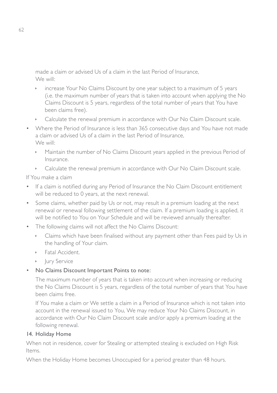made a claim or advised Us of a claim in the last Period of Insurance, We will:

- $\rightarrow$  increase Your No Claims Discount by one year subject to a maximum of 5 years (i.e. the maximum number of years that is taken into account when applying the No Claims Discount is 5 years, regardless of the total number of years that You have been claims free).
- **EXECULATE:** Calculate the renewal premium in accordance with Our No Claim Discount scale.
- Where the Period of Insurance is less than 365 consecutive days and You have not made a claim or advised Us of a claim in the last Period of Insurance, We will:
	- Maintain the number of No Claims Discount years applied in the previous Period of Insurance.
	- **EXECULATE:** Calculate the renewal premium in accordance with Our No Claim Discount scale.

If You make a claim

- If a claim is notified during any Period of Insurance the No Claim Discount entitlement will be reduced to 0 years, at the next renewal.
- Some claims, whether paid by Us or not, may result in a premium loading at the next renewal or renewal following settlement of the claim. If a premium loading is applied, it will be notified to You on Your Schedule and will be reviewed annually thereafter.
- The following claims will not affect the No Claims Discount:
	- $\triangleright$  Claims which have been finalised without any payment other than Fees paid by Us in the handling of Your claim.
	- **Eatal Accident.**
	- **I** Jury Service

#### • No Claims Discount Important Points to note:

The maximum number of years that is taken into account when increasing or reducing the No Claims Discount is 5 years, regardless of the total number of years that You have been claims free.

If You make a claim or We settle a claim in a Period of Insurance which is not taken into account in the renewal issued to You, We may reduce Your No Claims Discount, in accordance with Our No Claim Discount scale and/or apply a premium loading at the following renewal.

#### 14. Holiday Home

When not in residence, cover for Stealing or attempted stealing is excluded on High Risk Items.

When the Holiday Home becomes Unoccupied for a period greater than 48 hours.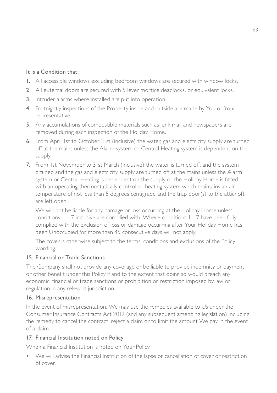#### It is a Condition that:

- 1. All accessible windows excluding bedroom windows are secured with window locks.
- 2. All external doors are secured with 5 lever mortice deadlocks, or equivalent locks.
- 3. Intruder alarms where installed are put into operation.
- 4. Fortnightly inspections of the Property inside and outside are made by You or Your representative.
- 5. Any accumulations of combustible materials such as junk mail and newspapers are removed during each inspection of the Holiday Home.
- 6. From April 1st to October 31st (inclusive) the water, gas and electricity supply are turned off at the mains unless the Alarm system or Central Heating system is dependent on the supply.
- 7. From 1st November to 31st March (inclusive) the water is turned off, and the system drained and the gas and electricity supply are turned off at the mains unless the Alarm system or Central Heating is dependent on the supply or the Holiday Home is fitted with an operating thermostatically controlled heating system which maintains an air temperature of not less than 5 degrees centigrade and the trap door(s) to the attic/loft are left open.

We will not be liable for any damage or loss occurring at the Holiday Home unless conditions  $1 - 7$  inclusive are complied with. Where conditions  $1 - 7$  have been fully complied with the exclusion of loss or damage occurring after Your Holiday Home has been Unoccupied for more than 45 consecutive days will not apply.

The cover is otherwise subject to the terms, conditions and exclusions of the Policy wording.

#### 15. Financial or Trade Sanctions

The Company shall not provide any coverage or be liable to provide indemnity or payment or other benefit under this Policy if and to the extent that doing so would breach any economic, financial or trade sanctions or prohibition or restriction imposed by law or regulation in any relevant jurisdiction

#### 16. Misrepresentation

In the event of misrepresentation, We may use the remedies available to Us under the Consumer Insurance Contracts Act 2019 (and any subsequent amending legislation) including the remedy to cancel the contract, reject a claim or to limit the amount We pay in the event of a claim.

#### 17. Financial Institution noted on Policy

When a Financial Institution is noted on Your Policy

• We will advise the Financial Institution of the lapse or cancellation of cover or restriction of cover.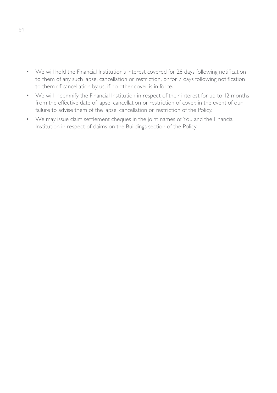- We will hold the Financial Institution's interest covered for 28 days following notification to them of any such lapse, cancellation or restriction, or for 7 days following notification to them of cancellation by us, if no other cover is in force.
- We will indemnify the Financial Institution in respect of their interest for up to 12 months from the effective date of lapse, cancellation or restriction of cover, in the event of our failure to advise them of the lapse, cancellation or restriction of the Policy.
- We may issue claim settlement cheques in the joint names of You and the Financial Institution in respect of claims on the Buildings section of the Policy.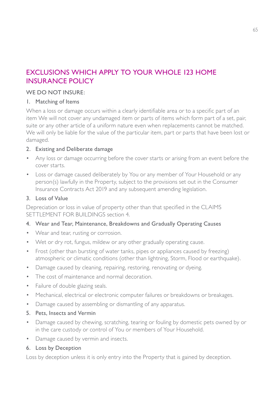### EXCLUSIONS WHICH APPLY TO YOUR WHOLE 123 HOME INSURANCE POLICY

#### WE DO NOT INSURE:

#### 1. Matching of Items

When a loss or damage occurs within a clearly identifiable area or to a specific part of an item We will not cover any undamaged item or parts of items which form part of a set, pair, suite or any other article of a uniform nature even when replacements cannot be matched. We will only be liable for the value of the particular item, part or parts that have been lost or damaged.

#### 2. Existing and Deliberate damage

- Any loss or damage occurring before the cover starts or arising from an event before the cover starts.
- Loss or damage caused deliberately by You or any member of Your Household or any person(s) lawfully in the Property, subject to the provisions set out in the Consumer Insurance Contracts Act 2019 and any subsequent amending legislation.

#### 3. Loss of Value

Depreciation or loss in value of property other than that specified in the CLAIMS SETTLEMENT FOR BUILDINGS section 4.

#### 4. Wear and Tear, Maintenance, Breakdowns and Gradually Operating Causes

- Wear and tear, rusting or corrosion.
- Wet or dry rot, fungus, mildew or any other gradually operating cause.
- Frost (other than bursting of water tanks, pipes or appliances caused by freezing) atmospheric or climatic conditions (other than lightning, Storm, Flood or earthquake).
- Damage caused by cleaning, repairing, restoring, renovating or dyeing.
- The cost of maintenance and normal decoration.
- Failure of double glazing seals.
- Mechanical, electrical or electronic computer failures or breakdowns or breakages.
- Damage caused by assembling or dismantling of any apparatus.
- 5. Pets, Insects and Vermin
- Damage caused by chewing, scratching, tearing or fouling by domestic pets owned by or in the care custody or control of You or members of Your Household.
- Damage caused by vermin and insects.

#### 6. Loss by Deception

Loss by deception unless it is only entry into the Property that is gained by deception.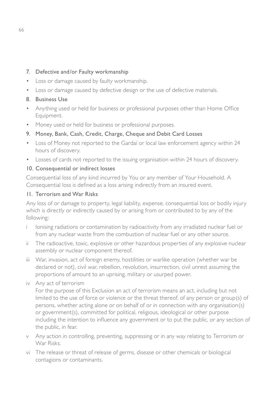#### 7. Defective and/or Faulty workmanship

- Loss or damage caused by faulty workmanship.
- Loss or damage caused by defective design or the use of defective materials.

#### 8. Business Use

- Anything used or held for business or professional purposes other than Home Office Equipment.
- Money used or held for business or professional purposes.

#### 9. Money, Bank, Cash, Credit, Charge, Cheque and Debit Card Losses

- Loss of Money not reported to the Gardaí or local law enforcement agency within 24 hours of discovery.
- Losses of cards not reported to the issuing organisation within 24 hours of discovery.

#### 10. Consequential or indirect losses

Consequential loss of any kind incurred by You or any member of Your Household. A Consequential loss is defined as a loss arising indirectly from an insured event.

#### 11. Terrorism and War Risks

Any loss of or damage to property, legal liability, expense, consequential loss or bodily injury which is directly or indirectly caused by or arising from or contributed to by any of the following:

- i Ionising radiations or contamination by radioactivity from any irradiated nuclear fuel or from any nuclear waste from the combustion of nuclear fuel or any other source.
- ii The radioactive, toxic, explosive or other hazardous properties of any explosive nuclear assembly or nuclear component thereof.
- iii War, invasion, act of foreign enemy, hostilities or warlike operation (whether war be declared or not), civil war, rebellion, revolution, insurrection, civil unrest assuming the proportions of amount to an uprising, military or usurped power.
- iv Any act of terrorism

For the purpose of this Exclusion an act of terrorism means an act, including but not limited to the use of force or violence or the threat thereof, of any person or group(s) of persons, whether acting alone or on behalf of or in connection with any organisation(s) or government(s), committed for political, religious, ideological or other purpose including the intention to influence any government or to put the public, or any section of the public, in fear.

- v Any action in controlling, preventing, suppressing or in any way relating to Terrorism or War Risks.
- vi The release or threat of release of germs, disease or other chemicals or biological contagions or contaminants.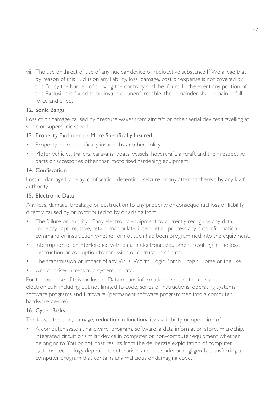vii The use or threat of use of any nuclear device or radioactive substance If We allege that by reason of this Exclusion any liability, loss, damage, cost or expense is not covered by this Policy the burden of proving the contrary shall be Yours. In the event any portion of this Exclusion is found to be invalid or unenforceable, the remainder shall remain in full force and effect.

#### 12. Sonic Bangs

Loss of or damage caused by pressure waves from aircraft or other aerial devices travelling at sonic or supersonic speed.

#### 13. Property Excluded or More Specifically Insured

- Property more specifically insured by another policy.
- Motor vehicles, trailers, caravans, boats, vessels, hovercraft, aircraft and their respective parts or accessories other than motorised gardening equipment.

#### 14. Confiscation

Loss or damage by delay, confiscation detention, seizure or any attempt thereat by any lawful authority.

#### 15. Electronic Data

Any loss, damage, breakage or destruction to any property or consequential loss or liability directly caused by or contributed to by or arising from

- The failure or inability of any electronic equipment to correctly recognise any data, correctly capture, save, retain, manipulate, interpret or process any data information, command or instruction whether or not such had been programmed into the equipment.
- Interruption of or interference with data in electronic equipment resulting in the loss, destruction or corruption transmission or corruption of data.
- The transmission or impact of any Virus, Worm, Logic Bomb, Trojan Horse or the like.
- Unauthorised access to a system or data.

For the purpose of this exclusion: Data means information represented or stored electronically including but not limited to code, series of instructions, operating systems, software programs and firmware (permanent software programmed into a computer hardware device).

#### 16. Cyber Risks

The loss, alteration, damage, reduction in functionality, availability or operation of:

• A computer system, hardware, program, software, a data information store, microchip, integrated circuit or similar device in computer or non-computer equipment whether belonging to You or not, that results from the deliberate exploitation of computer systems, technology dependent enterprises and networks or negligently transferring a computer program that contains any malicious or damaging code.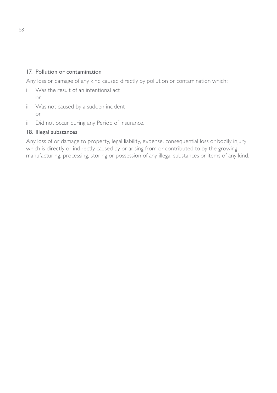#### 17. Pollution or contamination

Any loss or damage of any kind caused directly by pollution or contamination which:

- i Was the result of an intentional act or
- ii Was not caused by a sudden incident or
- iii Did not occur during any Period of Insurance.

#### 18. Illegal substances

Any loss of or damage to property, legal liability, expense, consequential loss or bodily injury which is directly or indirectly caused by or arising from or contributed to by the growing, manufacturing, processing, storing or possession of any illegal substances or items of any kind.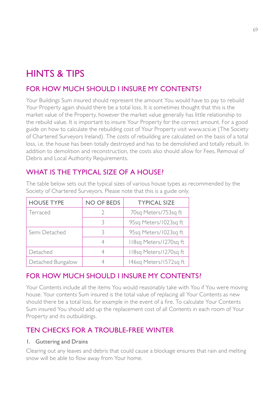## HINTS & TIPS

### FOR HOW MUCH SHOULD I INSURE MY CONTENTS?

Your Buildings Sum insured should represent the amount You would have to pay to rebuild Your Property again should there be a total loss, It is sometimes thought that this is the market value of the Property, however the market value generally has little relationship to the rebuild value. It is important to insure Your Property for the correct amount. For a good guide on how to calculate the rebuilding cost of Your Property visit www.scsi.ie (The Society of Chartered Surveyors Ireland). The costs of rebuilding are calculated on the basis of a total loss, i.e. the house has been totally destroyed and has to be demolished and totally rebuilt. In addition to demolition and reconstruction, the costs also should allow for Fees, Removal of Debris and Local Authority Requirements.

### WHAT IS THE TYPICAL SIZE OF A HOUSE?

| <b>HOUSE TYPE</b> | NO OF BEDS | <b>TYPICAL SIZE</b>    |
|-------------------|------------|------------------------|
| Terraced          |            | 70sq Meters/753sq ft   |
|                   |            | 95sq Meters/1023sq ft  |
| Semi Detached     |            | 95sq Meters/1023sq ft  |
|                   |            | II8sg Meters/1270sg ft |
| Detached          |            | II8sg Meters/1270sg ft |
| Detached Bungalow |            | 146sq Meters/1572sq ft |

The table below sets out the typical sizes of various house types as recommended by the Society of Chartered Surveyors. Please note that this is a guide only.

### FOR HOW MUCH SHOULD I INSURE MY CONTENTS?

Your Contents include all the items You would reasonably take with You if You were moving house. Your contents Sum insured is the total value of replacing all Your Contents as new should there be a total loss, for example in the event of a fire. To calculate Your Contents Sum insured You should add up the replacement cost of all Contents in each room of Your Property and its outbuildings.

### TEN CHECKS FOR A TROUBLE-FREE WINTER

#### 1. Guttering and Drains

Clearing out any leaves and debris that could cause a blockage ensures that rain and melting snow will be able to flow away from Your home.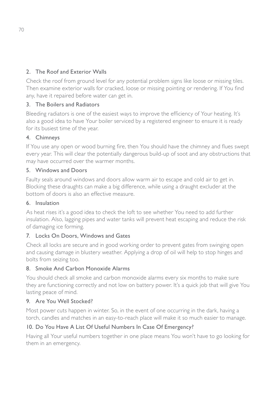#### 2. The Roof and Exterior Walls

Check the roof from ground level for any potential problem signs like loose or missing tiles. Then examine exterior walls for cracked, loose or missing pointing or rendering. If You find any, have it repaired before water can get in.

#### 3. The Boilers and Radiators

Bleeding radiators is one of the easiest ways to improve the efficiency of Your heating. It's also a good idea to have Your boiler serviced by a registered engineer to ensure it is ready for its busiest time of the year.

#### 4. Chimneys

If You use any open or wood burning fire, then You should have the chimney and flues swept every year. This will clear the potentially dangerous build-up of soot and any obstructions that may have occurred over the warmer months.

#### 5. Windows and Doors

Faulty seals around windows and doors allow warm air to escape and cold air to get in. Blocking these draughts can make a big difference, while using a draught excluder at the bottom of doors is also an effective measure.

#### 6. Insulation

As heat rises it's a good idea to check the loft to see whether You need to add further insulation. Also, lagging pipes and water tanks will prevent heat escaping and reduce the risk of damaging ice forming.

#### 7. Locks On Doors, Windows and Gates

Check all locks are secure and in good working order to prevent gates from swinging open and causing damage in blustery weather. Applying a drop of oil will help to stop hinges and bolts from seizing too.

#### 8. Smoke And Carbon Monoxide Alarms

You should check all smoke and carbon monoxide alarms every six months to make sure they are functioning correctly and not low on battery power. It's a quick job that will give You lasting peace of mind.

#### 9. Are You Well Stocked?

Most power cuts happen in winter. So, in the event of one occurring in the dark, having a torch, candles and matches in an easy-to-reach place will make it so much easier to manage.

#### 10. Do You Have A List Of Useful Numbers In Case Of Emergency?

Having all Your useful numbers together in one place means You won't have to go looking for them in an emergency.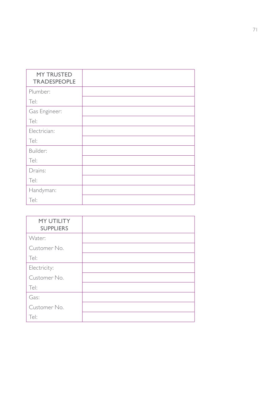| <b>MY TRUSTED</b><br><b>TRADESPEOPLE</b> |  |
|------------------------------------------|--|
| Plumber:                                 |  |
| Tel:                                     |  |
| Gas Engineer:                            |  |
| Tel:                                     |  |
| Electrician:                             |  |
| Tel:                                     |  |
| Builder:                                 |  |
| Tel:                                     |  |
| Drains:                                  |  |
| Tel:                                     |  |
| Handyman:                                |  |
| Tel:                                     |  |

| <b>MY UTILITY</b><br><b>SUPPLIERS</b> |
|---------------------------------------|
| Water:                                |
| Customer No.                          |
| Tel:                                  |
| Electricity:                          |
| Customer No.                          |
| Tel:                                  |
| Gas:                                  |
| Customer No.                          |
| Tel:                                  |